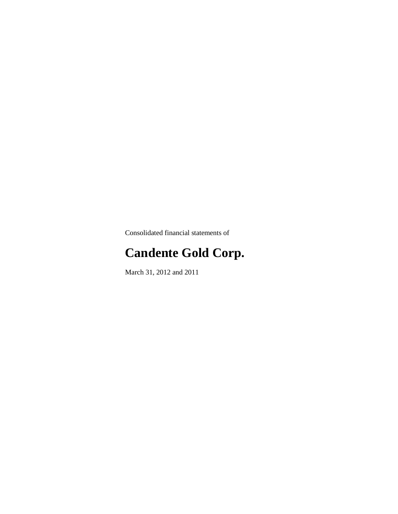Consolidated financial statements of

# **Candente Gold Corp.**

March 31, 2012 and 2011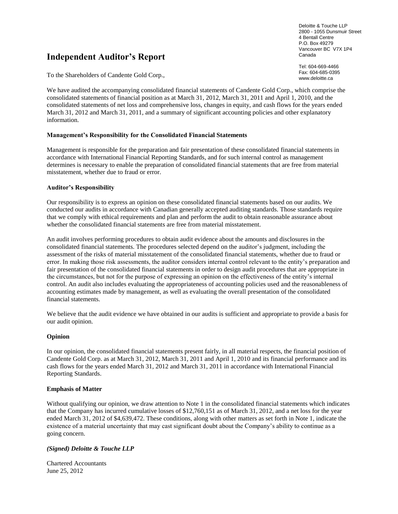Deloitte & Touche LLP 2800 - 1055 Dunsmuir Street 4 Bentall Centre P.O. Box 49279 Vancouver BC V7X 1P4 Canada

Tel: 604-669-4466 Fax: 604-685-0395 www.deloitte.ca

## **Independent Auditor's Report**

To the Shareholders of Candente Gold Corp.,

We have audited the accompanying consolidated financial statements of Candente Gold Corp., which comprise the consolidated statements of financial position as at March 31, 2012, March 31, 2011 and April 1, 2010, and the consolidated statements of net loss and comprehensive loss, changes in equity, and cash flows for the years ended March 31, 2012 and March 31, 2011, and a summary of significant accounting policies and other explanatory information.

#### **Management's Responsibility for the Consolidated Financial Statements**

Management is responsible for the preparation and fair presentation of these consolidated financial statements in accordance with International Financial Reporting Standards, and for such internal control as management determines is necessary to enable the preparation of consolidated financial statements that are free from material misstatement, whether due to fraud or error.

#### **Auditor's Responsibility**

Our responsibility is to express an opinion on these consolidated financial statements based on our audits. We conducted our audits in accordance with Canadian generally accepted auditing standards. Those standards require that we comply with ethical requirements and plan and perform the audit to obtain reasonable assurance about whether the consolidated financial statements are free from material misstatement.

An audit involves performing procedures to obtain audit evidence about the amounts and disclosures in the consolidated financial statements. The procedures selected depend on the auditor's judgment, including the assessment of the risks of material misstatement of the consolidated financial statements, whether due to fraud or error. In making those risk assessments, the auditor considers internal control relevant to the entity's preparation and fair presentation of the consolidated financial statements in order to design audit procedures that are appropriate in the circumstances, but not for the purpose of expressing an opinion on the effectiveness of the entity's internal control. An audit also includes evaluating the appropriateness of accounting policies used and the reasonableness of accounting estimates made by management, as well as evaluating the overall presentation of the consolidated financial statements.

We believe that the audit evidence we have obtained in our audits is sufficient and appropriate to provide a basis for our audit opinion.

#### **Opinion**

In our opinion, the consolidated financial statements present fairly, in all material respects, the financial position of Candente Gold Corp. as at March 31, 2012, March 31, 2011 and April 1, 2010 and its financial performance and its cash flows for the years ended March 31, 2012 and March 31, 2011 in accordance with International Financial Reporting Standards.

#### **Emphasis of Matter**

Without qualifying our opinion, we draw attention to Note 1 in the consolidated financial statements which indicates that the Company has incurred cumulative losses of \$12,760,151 as of March 31, 2012, and a net loss for the year ended March 31, 2012 of \$4,639,472. These conditions, along with other matters as set forth in Note 1, indicate the existence of a material uncertainty that may cast significant doubt about the Company's ability to continue as a going concern.

#### *(Signed) Deloitte & Touche LLP*

Chartered Accountants June 25, 2012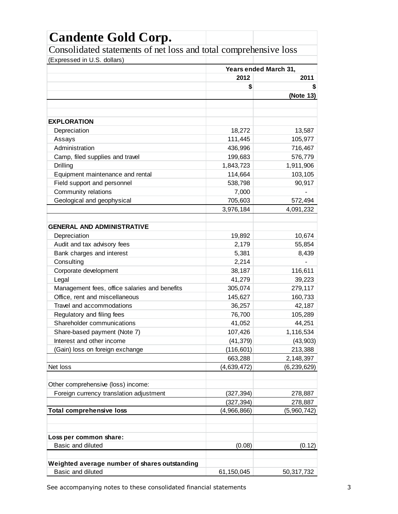| <b>Candente Gold Corp.</b>                                       |                           |                        |
|------------------------------------------------------------------|---------------------------|------------------------|
| Consolidated statements of net loss and total comprehensive loss |                           |                        |
| (Expressed in U.S. dollars)                                      |                           |                        |
|                                                                  | Years ended March 31,     |                        |
|                                                                  | 2012                      | 2011                   |
|                                                                  | \$                        |                        |
|                                                                  |                           | (Note 13)              |
| <b>EXPLORATION</b>                                               |                           |                        |
| Depreciation                                                     | 18,272                    | 13,587                 |
| Assays                                                           | 111,445                   | 105,977                |
| Administration                                                   | 436,996                   | 716,467                |
| Camp, filed supplies and travel                                  | 199,683                   | 576,779                |
| Drilling                                                         | 1,843,723                 | 1,911,906              |
| Equipment maintenance and rental                                 | 114,664                   | 103,105                |
| Field support and personnel                                      | 538,798                   | 90,917                 |
| Community relations                                              | 7,000                     |                        |
| Geological and geophysical                                       | 705,603                   | 572,494                |
|                                                                  | 3,976,184                 | 4,091,232              |
| <b>GENERAL AND ADMINISTRATIVE</b>                                |                           |                        |
| Depreciation                                                     | 19,892                    | 10,674                 |
| Audit and tax advisory fees                                      | 2,179                     | 55,854                 |
| Bank charges and interest                                        | 5,381                     | 8,439                  |
| Consulting                                                       | 2,214                     |                        |
| Corporate development                                            | 38,187                    | 116,611                |
| Legal                                                            | 41,279                    | 39,223                 |
| Management fees, office salaries and benefits                    | 305,074                   | 279,117                |
| Office, rent and miscellaneous                                   | 145,627                   | 160,733                |
| Travel and accommodations                                        | 36,257                    | 42,187                 |
| Regulatory and filing fees                                       | 76,700                    | 105,289                |
| Shareholder communications                                       | 41,052                    | 44,251                 |
| Share-based payment (Note 7)                                     | 107,426                   | 1,116,534              |
| Interest and other income                                        | (41, 379)                 | (43,903)               |
| (Gain) loss on foreign exchange                                  | (116, 601)                | 213,388                |
|                                                                  | 663,288                   | 2,148,397              |
| Net loss                                                         | (4,639,472)               | (6,239,629)            |
|                                                                  |                           |                        |
| Other comprehensive (loss) income:                               |                           |                        |
| Foreign currency translation adjustment                          | (327, 394)                | 278,887                |
| <b>Total comprehensive loss</b>                                  | (327, 394)<br>(4,966,866) | 278,887<br>(5,960,742) |
|                                                                  |                           |                        |
|                                                                  |                           |                        |
| Loss per common share:<br>Basic and diluted                      | (0.08)                    | (0.12)                 |
|                                                                  |                           |                        |
| Weighted average number of shares outstanding                    |                           |                        |
| Basic and diluted                                                | 61,150,045                | 50,317,732             |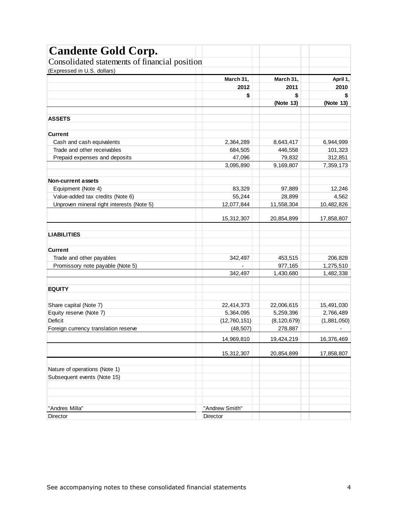| <b>Candente Gold Corp.</b>                    |                |               |             |
|-----------------------------------------------|----------------|---------------|-------------|
| Consolidated statements of financial position |                |               |             |
| (Expressed in U.S. dollars)                   |                |               |             |
|                                               | March 31,      | March 31,     | April 1,    |
|                                               | 2012           | 2011          | 2010        |
|                                               | \$             | \$            | \$          |
|                                               |                | (Note 13)     | (Note 13)   |
| <b>ASSETS</b>                                 |                |               |             |
| <b>Current</b>                                |                |               |             |
| Cash and cash equivalents                     | 2,364,289      | 8,643,417     | 6,944,999   |
| Trade and other receivables                   | 684,505        | 446,558       | 101,323     |
| Prepaid expenses and deposits                 | 47,096         | 79,832        | 312,851     |
|                                               | 3,095,890      | 9,169,807     | 7,359,173   |
| <b>Non-current assets</b>                     |                |               |             |
| Equipment (Note 4)                            | 83,329         | 97,889        | 12,246      |
| Value-added tax credits (Note 6)              | 55,244         | 28,899        | 4,562       |
| Unproven mineral right interests (Note 5)     | 12,077,844     | 11,558,304    | 10,482,826  |
|                                               | 15,312,307     | 20,854,899    | 17,858,807  |
| <b>LIABILITIES</b>                            |                |               |             |
| <b>Current</b>                                |                |               |             |
| Trade and other payables                      | 342,497        | 453,515       | 206,828     |
| Promissory note payable (Note 5)              |                | 977,165       | 1,275,510   |
|                                               | 342,497        | 1,430,680     | 1,482,338   |
| <b>EQUITY</b>                                 |                |               |             |
| Share capital (Note 7)                        | 22,414,373     | 22,006,615    | 15,491,030  |
| Equity reserve (Note 7)                       | 5,364,095      | 5,259,396     | 2,766,489   |
| <b>Deficit</b>                                | (12, 760, 151) | (8, 120, 679) | (1,881,050) |
| Foreign currency translation reserve          | (48, 507)      | 278,887       |             |
|                                               | 14,969,810     | 19,424,219    | 16,376,469  |
|                                               | 15,312,307     | 20,854,899    | 17,858,807  |
| Nature of operations (Note 1)                 |                |               |             |
| Subsequent events (Note 15)                   |                |               |             |
|                                               |                |               |             |
|                                               |                |               |             |
| "Andres Milla"                                | "Andrew Smith" |               |             |
| Director                                      | Director       |               |             |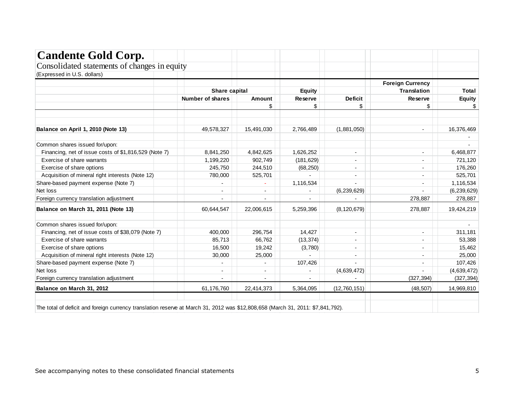| Consolidated statements of changes in equity<br>(Expressed in U.S. dollars) |                          |                          |               |                          |                          |               |
|-----------------------------------------------------------------------------|--------------------------|--------------------------|---------------|--------------------------|--------------------------|---------------|
|                                                                             |                          |                          |               |                          |                          |               |
|                                                                             |                          |                          |               |                          | <b>Foreign Currency</b>  |               |
|                                                                             | Share capital            |                          | <b>Equity</b> |                          | <b>Translation</b>       | Total         |
|                                                                             | <b>Number of shares</b>  | <b>Amount</b>            | Reserve       | <b>Deficit</b>           | Reserve                  | <b>Equity</b> |
|                                                                             |                          | \$                       | \$            | \$                       | \$                       | \$            |
| Balance on April 1, 2010 (Note 13)                                          | 49,578,327               | 15,491,030               | 2,766,489     | (1,881,050)              |                          | 16,376,469    |
|                                                                             |                          |                          |               |                          |                          |               |
| Common shares issued for/upon:                                              |                          |                          |               |                          |                          |               |
| Financing, net of issue costs of \$1,816,529 (Note 7)                       | 8,841,250                | 4,842,625                | 1,626,252     | $\blacksquare$           | $\overline{\phantom{a}}$ | 6,468,877     |
| Exercise of share warrants                                                  | 1,199,220                | 902,749                  | (181, 629)    |                          |                          | 721,120       |
| Exercise of share options                                                   | 245,750                  | 244,510                  | (68, 250)     |                          | $\overline{\phantom{a}}$ | 176,260       |
| Acquisition of mineral right interests (Note 12)                            | 780,000                  | 525,701                  |               |                          | $\overline{\phantom{a}}$ | 525,701       |
| Share-based payment expense (Note 7)                                        |                          |                          | 1,116,534     |                          |                          | 1,116,534     |
| Net loss                                                                    | $\overline{\phantom{a}}$ | $\overline{\phantom{a}}$ |               | (6, 239, 629)            |                          | (6, 239, 629) |
| Foreign currency translation adjustment                                     |                          |                          |               |                          | 278,887                  | 278,887       |
| Balance on March 31, 2011 (Note 13)                                         | 60,644,547               | 22,006,615               | 5,259,396     | (8, 120, 679)            | 278,887                  | 19,424,219    |
| Common shares issued for/upon:                                              |                          |                          |               |                          |                          |               |
| Financing, net of issue costs of \$38,079 (Note 7)                          | 400,000                  | 296,754                  | 14,427        | $\overline{\phantom{0}}$ | $\blacksquare$           | 311,181       |
| Exercise of share warrants                                                  | 85,713                   | 66,762                   | (13, 374)     | $\blacksquare$           | $\overline{\phantom{a}}$ | 53,388        |
| Exercise of share options                                                   | 16,500                   | 19,242                   | (3,780)       | $\overline{\phantom{a}}$ | $\overline{\phantom{a}}$ | 15,462        |
| Acquisition of mineral right interests (Note 12)                            | 30,000                   | 25,000                   |               | $\overline{a}$           |                          | 25,000        |
| Share-based payment expense (Note 7)                                        |                          |                          | 107,426       |                          | $\overline{\phantom{a}}$ | 107,426       |
| Net loss                                                                    |                          |                          |               | (4,639,472)              |                          | (4,639,472)   |
| Foreign currency translation adjustment                                     |                          |                          |               |                          | (327, 394)               | (327, 394)    |
| Balance on March 31, 2012                                                   | 61,176,760               | 22,414,373               | 5,364,095     | (12, 760, 151)           | (48, 507)                | 14,969,810    |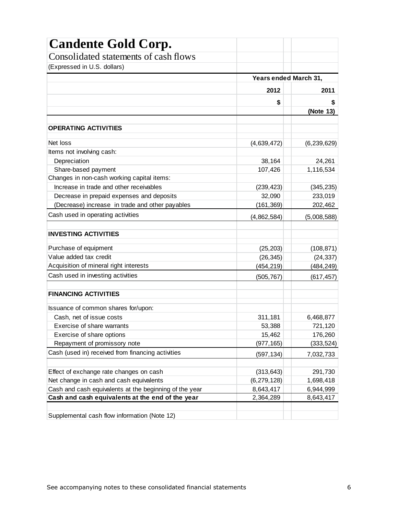| <b>Candente Gold Corp.</b>                             |                       |               |
|--------------------------------------------------------|-----------------------|---------------|
| Consolidated statements of cash flows                  |                       |               |
| (Expressed in U.S. dollars)                            |                       |               |
|                                                        | Years ended March 31, |               |
|                                                        | 2012                  |               |
|                                                        | \$                    | 2011<br>S     |
|                                                        |                       | (Note 13)     |
| <b>OPERATING ACTIVITIES</b>                            |                       |               |
| Net loss                                               | (4,639,472)           | (6, 239, 629) |
| Items not involving cash:                              |                       |               |
| Depreciation                                           | 38,164                | 24,261        |
| Share-based payment                                    | 107,426               | 1,116,534     |
| Changes in non-cash working capital items:             |                       |               |
| Increase in trade and other receivables                | (239, 423)            | (345, 235)    |
| Decrease in prepaid expenses and deposits              | 32,090                | 233,019       |
| (Decrease) increase in trade and other payables        | (161, 369)            | 202,462       |
| Cash used in operating activities                      | (4,862,584)           | (5,008,588)   |
| <b>INVESTING ACTIVITIES</b>                            |                       |               |
| Purchase of equipment                                  | (25, 203)             | (108, 871)    |
| Value added tax credit                                 | (26, 345)             | (24, 337)     |
| Acquisition of mineral right interests                 | (454, 219)            | (484, 249)    |
| Cash used in investing activities                      | (505, 767)            | (617, 457)    |
| <b>FINANCING ACTIVITIES</b>                            |                       |               |
| Issuance of common shares for/upon:                    |                       |               |
| Cash, net of issue costs                               | 311,181               | 6,468,877     |
| <b>Exercise of share warrants</b>                      | 53,388                | 721,120       |
| Exercise of share options                              | 15,462                | 176,260       |
| Repayment of promissory note                           | (977, 165)            | (333, 524)    |
| Cash (used in) received from financing activities      | (597, 134)            | 7,032,733     |
| Effect of exchange rate changes on cash                | (313, 643)            | 291,730       |
| Net change in cash and cash equivalents                | (6, 279, 128)         | 1,698,418     |
| Cash and cash equivalents at the beginning of the year | 8,643,417             | 6,944,999     |
| Cash and cash equivalents at the end of the year       | 2,364,289             | 8,643,417     |
| Supplemental cash flow information (Note 12)           |                       |               |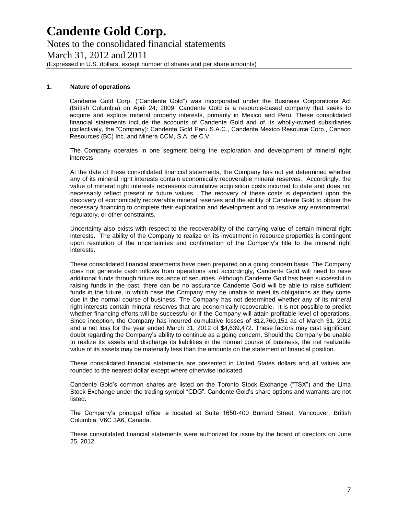Notes to the consolidated financial statements March 31, 2012 and 2011 (Expressed in U.S. dollars, except number of shares and per share amounts)

#### **1. Nature of operations**

Candente Gold Corp. ("Candente Gold") was incorporated under the Business Corporations Act (British Columbia) on April 24, 2009. Candente Gold is a resource-based company that seeks to acquire and explore mineral property interests, primarily in Mexico and Peru. These consolidated financial statements include the accounts of Candente Gold and of its wholly-owned subsidiaries (collectively, the "Company): Candente Gold Peru S.A.C., Candente Mexico Resource Corp., Canaco Resources (BC) Inc. and Minera CCM, S.A. de C.V.

The Company operates in one segment being the exploration and development of mineral right interests.

At the date of these consolidated financial statements, the Company has not yet determined whether any of its mineral right interests contain economically recoverable mineral reserves. Accordingly, the value of mineral right interests represents cumulative acquisition costs incurred to date and does not necessarily reflect present or future values. The recovery of these costs is dependent upon the discovery of economically recoverable mineral reserves and the ability of Candente Gold to obtain the necessary financing to complete their exploration and development and to resolve any environmental, regulatory, or other constraints.

Uncertainty also exists with respect to the recoverability of the carrying value of certain mineral right interests. The ability of the Company to realize on its investment in resource properties is contingent upon resolution of the uncertainties and confirmation of the Company's title to the mineral right interests.

These consolidated financial statements have been prepared on a going concern basis. The Company does not generate cash inflows from operations and accordingly, Candente Gold will need to raise additional funds through future issuance of securities. Although Candente Gold has been successful in raising funds in the past, there can be no assurance Candente Gold will be able to raise sufficient funds in the future, in which case the Company may be unable to meet its obligations as they come due in the normal course of business. The Company has not determined whether any of its mineral right interests contain mineral reserves that are economically recoverable. It is not possible to predict whether financing efforts will be successful or if the Company will attain profitable level of operations. Since inception, the Company has incurred cumulative losses of \$12,760,151 as of March 31, 2012 and a net loss for the year ended March 31, 2012 of \$4,639,472. These factors may cast significant doubt regarding the Company's ability to continue as a going concern. Should the Company be unable to realize its assets and discharge its liabilities in the normal course of business, the net realizable value of its assets may be materially less than the amounts on the statement of financial position.

These consolidated financial statements are presented in United States dollars and all values are rounded to the nearest dollar except where otherwise indicated.

Candente Gold's common shares are listed on the Toronto Stock Exchange ("TSX") and the Lima Stock Exchange under the trading symbol "CDG". Candente Gold's share options and warrants are not listed.

The Company's principal office is located at Suite 1650-400 Burrard Street, Vancouver, British Columbia, V6C 3A6, Canada.

These consolidated financial statements were authorized for issue by the board of directors on June 25, 2012.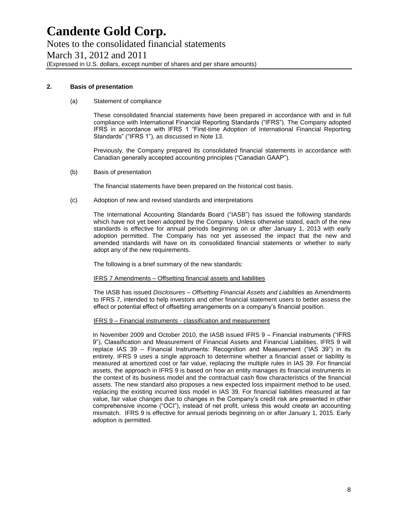Notes to the consolidated financial statements March 31, 2012 and 2011 (Expressed in U.S. dollars, except number of shares and per share amounts)

### **2. Basis of presentation**

(a) Statement of compliance

These consolidated financial statements have been prepared in accordance with and in full compliance with International Financial Reporting Standards ("IFRS"). The Company adopted IFRS in accordance with IFRS 1 "First-time Adoption of International Financial Reporting Standards" ("IFRS 1"), as discussed in Note 13.

Previously, the Company prepared its consolidated financial statements in accordance with Canadian generally accepted accounting principles ("Canadian GAAP").

(b) Basis of presentation

The financial statements have been prepared on the historical cost basis.

(c) Adoption of new and revised standards and interpretations

The International Accounting Standards Board ("IASB") has issued the following standards which have not yet been adopted by the Company. Unless otherwise stated, each of the new standards is effective for annual periods beginning on or after January 1, 2013 with early adoption permitted. The Company has not yet assessed the impact that the new and amended standards will have on its consolidated financial statements or whether to early adopt any of the new requirements.

The following is a brief summary of the new standards:

#### IFRS 7 Amendments – Offsetting financial assets and liabilities

The IASB has issued *Disclosures – Offsetting Financial Assets and Liabilities* as Amendments to IFRS 7, intended to help investors and other financial statement users to better assess the effect or potential effect of offsetting arrangements on a company's financial position.

### IFRS 9 – Financial instruments - classification and measurement

In November 2009 and October 2010, the IASB issued IFRS 9 – Financial instruments ("IFRS 9‖), Classification and Measurement of Financial Assets and Financial Liabilities. IFRS 9 will replace IAS  $39$  – Financial Instruments: Recognition and Measurement ( $4AS$   $39$ ") in its entirety. IFRS 9 uses a single approach to determine whether a financial asset or liability is measured at amortized cost or fair value, replacing the multiple rules in IAS 39. For financial assets, the approach in IFRS 9 is based on how an entity manages its financial instruments in the context of its business model and the contractual cash flow characteristics of the financial assets. The new standard also proposes a new expected loss impairment method to be used, replacing the existing incurred loss model in IAS 39. For financial liabilities measured at fair value, fair value changes due to changes in the Company's credit risk are presented in other comprehensive income ("OCI"), instead of net profit, unless this would create an accounting mismatch. IFRS 9 is effective for annual periods beginning on or after January 1, 2015. Early adoption is permitted.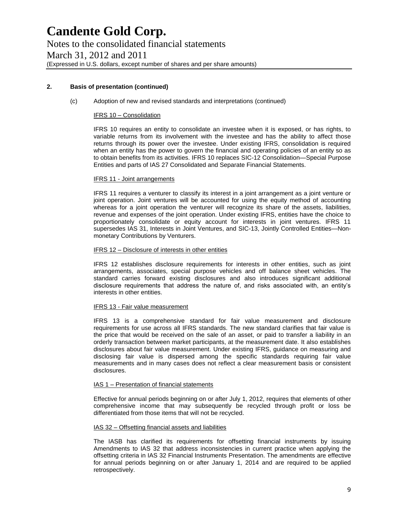Notes to the consolidated financial statements March 31, 2012 and 2011 (Expressed in U.S. dollars, except number of shares and per share amounts)

### **2. Basis of presentation (continued)**

(c) Adoption of new and revised standards and interpretations (continued)

#### IFRS 10 – Consolidation

IFRS 10 requires an entity to consolidate an investee when it is exposed, or has rights, to variable returns from its involvement with the investee and has the ability to affect those returns through its power over the investee. Under existing IFRS, consolidation is required when an entity has the power to govern the financial and operating policies of an entity so as to obtain benefits from its activities. IFRS 10 replaces SIC-12 Consolidation—Special Purpose Entities and parts of IAS 27 Consolidated and Separate Financial Statements.

#### IFRS 11 - Joint arrangements

IFRS 11 requires a venturer to classify its interest in a joint arrangement as a joint venture or joint operation. Joint ventures will be accounted for using the equity method of accounting whereas for a joint operation the venturer will recognize its share of the assets, liabilities, revenue and expenses of the joint operation. Under existing IFRS, entities have the choice to proportionately consolidate or equity account for interests in joint ventures. IFRS 11 supersedes IAS 31, Interests in Joint Ventures, and SIC-13, Jointly Controlled Entities—Nonmonetary Contributions by Venturers.

#### IFRS 12 – Disclosure of interests in other entities

IFRS 12 establishes disclosure requirements for interests in other entities, such as joint arrangements, associates, special purpose vehicles and off balance sheet vehicles. The standard carries forward existing disclosures and also introduces significant additional disclosure requirements that address the nature of, and risks associated with, an entity's interests in other entities.

#### IFRS 13 - Fair value measurement

IFRS 13 is a comprehensive standard for fair value measurement and disclosure requirements for use across all IFRS standards. The new standard clarifies that fair value is the price that would be received on the sale of an asset, or paid to transfer a liability in an orderly transaction between market participants, at the measurement date. It also establishes disclosures about fair value measurement. Under existing IFRS, guidance on measuring and disclosing fair value is dispersed among the specific standards requiring fair value measurements and in many cases does not reflect a clear measurement basis or consistent disclosures.

#### IAS 1 – Presentation of financial statements

Effective for annual periods beginning on or after July 1, 2012, requires that elements of other comprehensive income that may subsequently be recycled through profit or loss be differentiated from those items that will not be recycled.

#### IAS 32 – Offsetting financial assets and liabilities

The IASB has clarified its requirements for offsetting financial instruments by issuing Amendments to IAS 32 that address inconsistencies in current practice when applying the offsetting criteria in IAS 32 Financial Instruments Presentation. The amendments are effective for annual periods beginning on or after January 1, 2014 and are required to be applied retrospectively.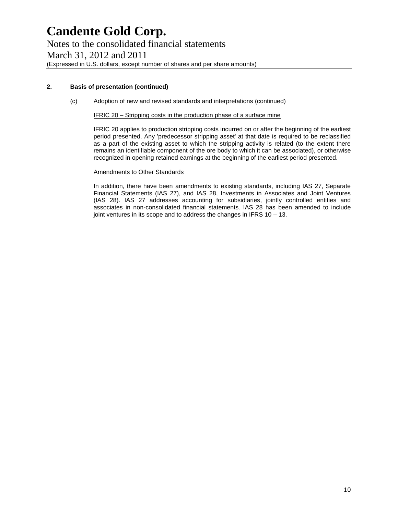Notes to the consolidated financial statements March 31, 2012 and 2011 (Expressed in U.S. dollars, except number of shares and per share amounts)

## **2. Basis of presentation (continued)**

(c) Adoption of new and revised standards and interpretations (continued)

### IFRIC 20 – Stripping costs in the production phase of a surface mine

IFRIC 20 applies to production stripping costs incurred on or after the beginning of the earliest period presented. Any 'predecessor stripping asset' at that date is required to be reclassified as a part of the existing asset to which the stripping activity is related (to the extent there remains an identifiable component of the ore body to which it can be associated), or otherwise recognized in opening retained earnings at the beginning of the earliest period presented.

#### Amendments to Other Standards

In addition, there have been amendments to existing standards, including IAS 27, Separate Financial Statements (IAS 27), and IAS 28, Investments in Associates and Joint Ventures (IAS 28). IAS 27 addresses accounting for subsidiaries, jointly controlled entities and associates in non-consolidated financial statements. IAS 28 has been amended to include joint ventures in its scope and to address the changes in IFRS 10 – 13.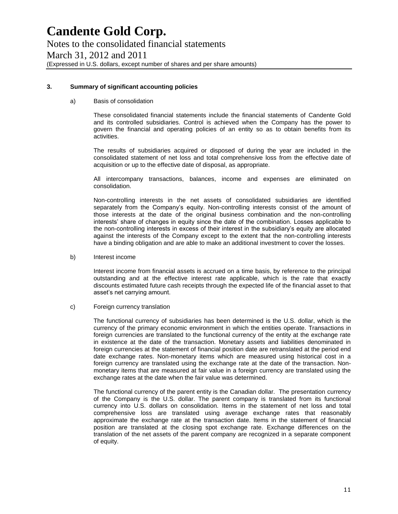### **3. Summary of significant accounting policies**

#### a) Basis of consolidation

These consolidated financial statements include the financial statements of Candente Gold and its controlled subsidiaries. Control is achieved when the Company has the power to govern the financial and operating policies of an entity so as to obtain benefits from its activities.

The results of subsidiaries acquired or disposed of during the year are included in the consolidated statement of net loss and total comprehensive loss from the effective date of acquisition or up to the effective date of disposal, as appropriate.

All intercompany transactions, balances, income and expenses are eliminated on consolidation.

Non-controlling interests in the net assets of consolidated subsidiaries are identified separately from the Company's equity. Non-controlling interests consist of the amount of those interests at the date of the original business combination and the non-controlling interests' share of changes in equity since the date of the combination. Losses applicable to the non-controlling interests in excess of their interest in the subsidiary's equity are allocated against the interests of the Company except to the extent that the non-controlling interests have a binding obligation and are able to make an additional investment to cover the losses.

#### b) Interest income

Interest income from financial assets is accrued on a time basis, by reference to the principal outstanding and at the effective interest rate applicable, which is the rate that exactly discounts estimated future cash receipts through the expected life of the financial asset to that asset's net carrying amount.

#### c) Foreign currency translation

The functional currency of subsidiaries has been determined is the U.S. dollar, which is the currency of the primary economic environment in which the entities operate. Transactions in foreign currencies are translated to the functional currency of the entity at the exchange rate in existence at the date of the transaction. Monetary assets and liabilities denominated in foreign currencies at the statement of financial position date are retranslated at the period end date exchange rates. Non-monetary items which are measured using historical cost in a foreign currency are translated using the exchange rate at the date of the transaction. Nonmonetary items that are measured at fair value in a foreign currency are translated using the exchange rates at the date when the fair value was determined.

The functional currency of the parent entity is the Canadian dollar. The presentation currency of the Company is the U.S. dollar. The parent company is translated from its functional currency into U.S. dollars on consolidation. Items in the statement of net loss and total comprehensive loss are translated using average exchange rates that reasonably approximate the exchange rate at the transaction date. Items in the statement of financial position are translated at the closing spot exchange rate. Exchange differences on the translation of the net assets of the parent company are recognized in a separate component of equity.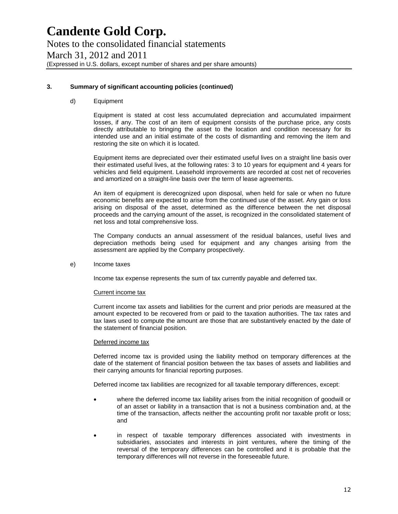Notes to the consolidated financial statements March 31, 2012 and 2011 (Expressed in U.S. dollars, except number of shares and per share amounts)

#### **3. Summary of significant accounting policies (continued)**

#### d) Equipment

Equipment is stated at cost less accumulated depreciation and accumulated impairment losses, if any. The cost of an item of equipment consists of the purchase price, any costs directly attributable to bringing the asset to the location and condition necessary for its intended use and an initial estimate of the costs of dismantling and removing the item and restoring the site on which it is located.

Equipment items are depreciated over their estimated useful lives on a straight line basis over their estimated useful lives, at the following rates: 3 to 10 years for equipment and 4 years for vehicles and field equipment. Leasehold improvements are recorded at cost net of recoveries and amortized on a straight-line basis over the term of lease agreements.

An item of equipment is derecognized upon disposal, when held for sale or when no future economic benefits are expected to arise from the continued use of the asset. Any gain or loss arising on disposal of the asset, determined as the difference between the net disposal proceeds and the carrying amount of the asset, is recognized in the consolidated statement of net loss and total comprehensive loss.

The Company conducts an annual assessment of the residual balances, useful lives and depreciation methods being used for equipment and any changes arising from the assessment are applied by the Company prospectively.

e) Income taxes

Income tax expense represents the sum of tax currently payable and deferred tax.

#### Current income tax

Current income tax assets and liabilities for the current and prior periods are measured at the amount expected to be recovered from or paid to the taxation authorities. The tax rates and tax laws used to compute the amount are those that are substantively enacted by the date of the statement of financial position.

#### Deferred income tax

Deferred income tax is provided using the liability method on temporary differences at the date of the statement of financial position between the tax bases of assets and liabilities and their carrying amounts for financial reporting purposes.

Deferred income tax liabilities are recognized for all taxable temporary differences, except:

- where the deferred income tax liability arises from the initial recognition of goodwill or of an asset or liability in a transaction that is not a business combination and, at the time of the transaction, affects neither the accounting profit nor taxable profit or loss; and
- in respect of taxable temporary differences associated with investments in subsidiaries, associates and interests in joint ventures, where the timing of the reversal of the temporary differences can be controlled and it is probable that the temporary differences will not reverse in the foreseeable future.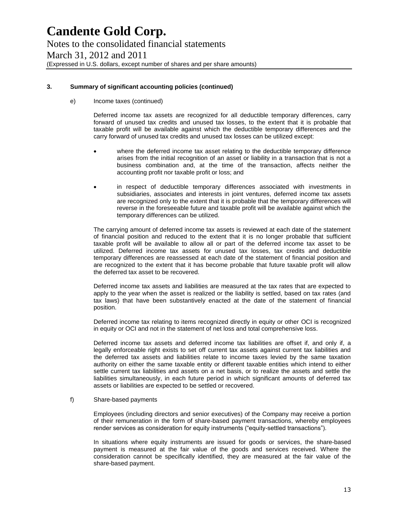Notes to the consolidated financial statements March 31, 2012 and 2011 (Expressed in U.S. dollars, except number of shares and per share amounts)

### **3. Summary of significant accounting policies (continued)**

e) Income taxes (continued)

Deferred income tax assets are recognized for all deductible temporary differences, carry forward of unused tax credits and unused tax losses, to the extent that it is probable that taxable profit will be available against which the deductible temporary differences and the carry forward of unused tax credits and unused tax losses can be utilized except:

- where the deferred income tax asset relating to the deductible temporary difference arises from the initial recognition of an asset or liability in a transaction that is not a business combination and, at the time of the transaction, affects neither the accounting profit nor taxable profit or loss; and
- in respect of deductible temporary differences associated with investments in subsidiaries, associates and interests in joint ventures, deferred income tax assets are recognized only to the extent that it is probable that the temporary differences will reverse in the foreseeable future and taxable profit will be available against which the temporary differences can be utilized.

The carrying amount of deferred income tax assets is reviewed at each date of the statement of financial position and reduced to the extent that it is no longer probable that sufficient taxable profit will be available to allow all or part of the deferred income tax asset to be utilized. Deferred income tax assets for unused tax losses, tax credits and deductible temporary differences are reassessed at each date of the statement of financial position and are recognized to the extent that it has become probable that future taxable profit will allow the deferred tax asset to be recovered.

Deferred income tax assets and liabilities are measured at the tax rates that are expected to apply to the year when the asset is realized or the liability is settled, based on tax rates (and tax laws) that have been substantively enacted at the date of the statement of financial position.

Deferred income tax relating to items recognized directly in equity or other OCI is recognized in equity or OCI and not in the statement of net loss and total comprehensive loss.

Deferred income tax assets and deferred income tax liabilities are offset if, and only if, a legally enforceable right exists to set off current tax assets against current tax liabilities and the deferred tax assets and liabilities relate to income taxes levied by the same taxation authority on either the same taxable entity or different taxable entities which intend to either settle current tax liabilities and assets on a net basis, or to realize the assets and settle the liabilities simultaneously, in each future period in which significant amounts of deferred tax assets or liabilities are expected to be settled or recovered.

f) Share-based payments

Employees (including directors and senior executives) of the Company may receive a portion of their remuneration in the form of share-based payment transactions, whereby employees render services as consideration for equity instruments ("equity-settled transactions").

In situations where equity instruments are issued for goods or services, the share-based payment is measured at the fair value of the goods and services received. Where the consideration cannot be specifically identified, they are measured at the fair value of the share-based payment.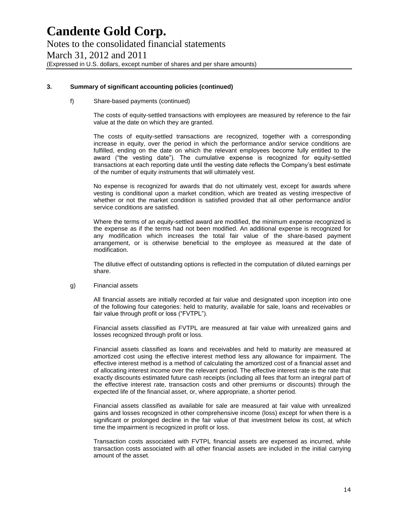### **3. Summary of significant accounting policies (continued)**

#### f) Share-based payments (continued)

The costs of equity-settled transactions with employees are measured by reference to the fair value at the date on which they are granted.

The costs of equity-settled transactions are recognized, together with a corresponding increase in equity, over the period in which the performance and/or service conditions are fulfilled, ending on the date on which the relevant employees become fully entitled to the award ("the vesting date"). The cumulative expense is recognized for equity-settled transactions at each reporting date until the vesting date reflects the Company's best estimate of the number of equity instruments that will ultimately vest.

No expense is recognized for awards that do not ultimately vest, except for awards where vesting is conditional upon a market condition, which are treated as vesting irrespective of whether or not the market condition is satisfied provided that all other performance and/or service conditions are satisfied.

Where the terms of an equity-settled award are modified, the minimum expense recognized is the expense as if the terms had not been modified. An additional expense is recognized for any modification which increases the total fair value of the share-based payment arrangement, or is otherwise beneficial to the employee as measured at the date of modification.

The dilutive effect of outstanding options is reflected in the computation of diluted earnings per share.

#### g) Financial assets

All financial assets are initially recorded at fair value and designated upon inception into one of the following four categories: held to maturity, available for sale, loans and receivables or fair value through profit or loss ("FVTPL").

Financial assets classified as FVTPL are measured at fair value with unrealized gains and losses recognized through profit or loss.

Financial assets classified as loans and receivables and held to maturity are measured at amortized cost using the effective interest method less any allowance for impairment. The effective interest method is a method of calculating the amortized cost of a financial asset and of allocating interest income over the relevant period. The effective interest rate is the rate that exactly discounts estimated future cash receipts (including all fees that form an integral part of the effective interest rate, transaction costs and other premiums or discounts) through the expected life of the financial asset, or, where appropriate, a shorter period.

Financial assets classified as available for sale are measured at fair value with unrealized gains and losses recognized in other comprehensive income (loss) except for when there is a significant or prolonged decline in the fair value of that investment below its cost, at which time the impairment is recognized in profit or loss.

Transaction costs associated with FVTPL financial assets are expensed as incurred, while transaction costs associated with all other financial assets are included in the initial carrying amount of the asset.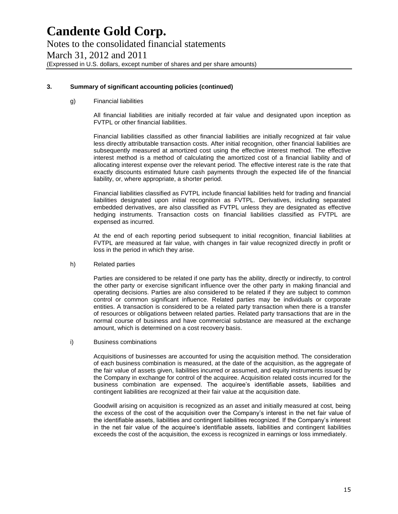### **3. Summary of significant accounting policies (continued)**

#### g) Financial liabilities

All financial liabilities are initially recorded at fair value and designated upon inception as FVTPL or other financial liabilities.

Financial liabilities classified as other financial liabilities are initially recognized at fair value less directly attributable transaction costs. After initial recognition, other financial liabilities are subsequently measured at amortized cost using the effective interest method. The effective interest method is a method of calculating the amortized cost of a financial liability and of allocating interest expense over the relevant period. The effective interest rate is the rate that exactly discounts estimated future cash payments through the expected life of the financial liability, or, where appropriate, a shorter period.

Financial liabilities classified as FVTPL include financial liabilities held for trading and financial liabilities designated upon initial recognition as FVTPL. Derivatives, including separated embedded derivatives, are also classified as FVTPL unless they are designated as effective hedging instruments. Transaction costs on financial liabilities classified as FVTPL are expensed as incurred.

At the end of each reporting period subsequent to initial recognition, financial liabilities at FVTPL are measured at fair value, with changes in fair value recognized directly in profit or loss in the period in which they arise.

#### h) Related parties

Parties are considered to be related if one party has the ability, directly or indirectly, to control the other party or exercise significant influence over the other party in making financial and operating decisions. Parties are also considered to be related if they are subject to common control or common significant influence. Related parties may be individuals or corporate entities. A transaction is considered to be a related party transaction when there is a transfer of resources or obligations between related parties. Related party transactions that are in the normal course of business and have commercial substance are measured at the exchange amount, which is determined on a cost recovery basis.

#### i) Business combinations

Acquisitions of businesses are accounted for using the acquisition method. The consideration of each business combination is measured, at the date of the acquisition, as the aggregate of the fair value of assets given, liabilities incurred or assumed, and equity instruments issued by the Company in exchange for control of the acquiree. Acquisition related costs incurred for the business combination are expensed. The acquiree's identifiable assets, liabilities and contingent liabilities are recognized at their fair value at the acquisition date.

Goodwill arising on acquisition is recognized as an asset and initially measured at cost, being the excess of the cost of the acquisition over the Company's interest in the net fair value of the identifiable assets, liabilities and contingent liabilities recognized. If the Company's interest in the net fair value of the acquiree's identifiable assets, liabilities and contingent liabilities exceeds the cost of the acquisition, the excess is recognized in earnings or loss immediately.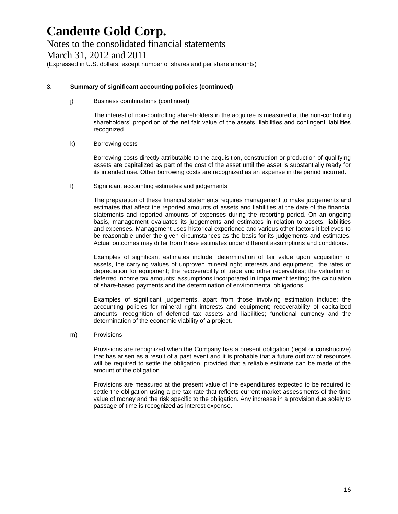### **3. Summary of significant accounting policies (continued)**

j) Business combinations (continued)

The interest of non-controlling shareholders in the acquiree is measured at the non-controlling shareholders' proportion of the net fair value of the assets, liabilities and contingent liabilities recognized.

k) Borrowing costs

Borrowing costs directly attributable to the acquisition, construction or production of qualifying assets are capitalized as part of the cost of the asset until the asset is substantially ready for its intended use. Other borrowing costs are recognized as an expense in the period incurred.

l) Significant accounting estimates and judgements

The preparation of these financial statements requires management to make judgements and estimates that affect the reported amounts of assets and liabilities at the date of the financial statements and reported amounts of expenses during the reporting period. On an ongoing basis, management evaluates its judgements and estimates in relation to assets, liabilities and expenses. Management uses historical experience and various other factors it believes to be reasonable under the given circumstances as the basis for its judgements and estimates. Actual outcomes may differ from these estimates under different assumptions and conditions.

Examples of significant estimates include: determination of fair value upon acquisition of assets, the carrying values of unproven mineral right interests and equipment; the rates of depreciation for equipment; the recoverability of trade and other receivables; the valuation of deferred income tax amounts; assumptions incorporated in impairment testing; the calculation of share-based payments and the determination of environmental obligations.

Examples of significant judgements, apart from those involving estimation include: the accounting policies for mineral right interests and equipment; recoverability of capitalized amounts; recognition of deferred tax assets and liabilities; functional currency and the determination of the economic viability of a project.

m) Provisions

Provisions are recognized when the Company has a present obligation (legal or constructive) that has arisen as a result of a past event and it is probable that a future outflow of resources will be required to settle the obligation, provided that a reliable estimate can be made of the amount of the obligation.

Provisions are measured at the present value of the expenditures expected to be required to settle the obligation using a pre-tax rate that reflects current market assessments of the time value of money and the risk specific to the obligation. Any increase in a provision due solely to passage of time is recognized as interest expense.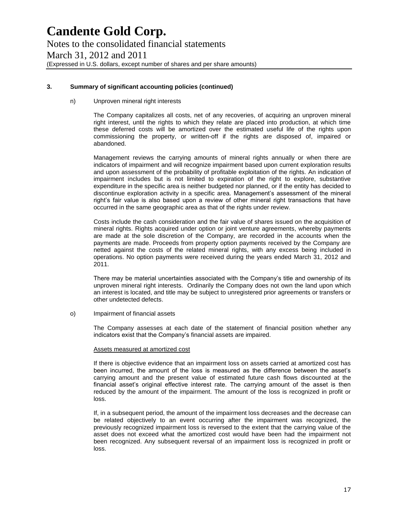Notes to the consolidated financial statements March 31, 2012 and 2011 (Expressed in U.S. dollars, except number of shares and per share amounts)

### **3. Summary of significant accounting policies (continued)**

#### n) Unproven mineral right interests

The Company capitalizes all costs, net of any recoveries, of acquiring an unproven mineral right interest, until the rights to which they relate are placed into production, at which time these deferred costs will be amortized over the estimated useful life of the rights upon commissioning the property, or written-off if the rights are disposed of, impaired or abandoned.

Management reviews the carrying amounts of mineral rights annually or when there are indicators of impairment and will recognize impairment based upon current exploration results and upon assessment of the probability of profitable exploitation of the rights. An indication of impairment includes but is not limited to expiration of the right to explore, substantive expenditure in the specific area is neither budgeted nor planned, or if the entity has decided to discontinue exploration activity in a specific area. Management's assessment of the mineral right's fair value is also based upon a review of other mineral right transactions that have occurred in the same geographic area as that of the rights under review.

Costs include the cash consideration and the fair value of shares issued on the acquisition of mineral rights. Rights acquired under option or joint venture agreements, whereby payments are made at the sole discretion of the Company, are recorded in the accounts when the payments are made. Proceeds from property option payments received by the Company are netted against the costs of the related mineral rights, with any excess being included in operations. No option payments were received during the years ended March 31, 2012 and 2011.

There may be material uncertainties associated with the Company's title and ownership of its unproven mineral right interests. Ordinarily the Company does not own the land upon which an interest is located, and title may be subject to unregistered prior agreements or transfers or other undetected defects.

#### o) Impairment of financial assets

The Company assesses at each date of the statement of financial position whether any indicators exist that the Company's financial assets are impaired.

#### Assets measured at amortized cost

If there is objective evidence that an impairment loss on assets carried at amortized cost has been incurred, the amount of the loss is measured as the difference between the asset's carrying amount and the present value of estimated future cash flows discounted at the financial asset's original effective interest rate. The carrying amount of the asset is then reduced by the amount of the impairment. The amount of the loss is recognized in profit or loss.

If, in a subsequent period, the amount of the impairment loss decreases and the decrease can be related objectively to an event occurring after the impairment was recognized, the previously recognized impairment loss is reversed to the extent that the carrying value of the asset does not exceed what the amortized cost would have been had the impairment not been recognized. Any subsequent reversal of an impairment loss is recognized in profit or loss.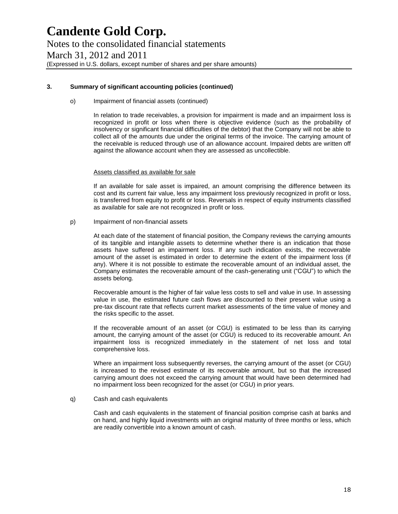### **3. Summary of significant accounting policies (continued)**

#### o) Impairment of financial assets (continued)

In relation to trade receivables, a provision for impairment is made and an impairment loss is recognized in profit or loss when there is objective evidence (such as the probability of insolvency or significant financial difficulties of the debtor) that the Company will not be able to collect all of the amounts due under the original terms of the invoice. The carrying amount of the receivable is reduced through use of an allowance account. Impaired debts are written off against the allowance account when they are assessed as uncollectible.

#### Assets classified as available for sale

If an available for sale asset is impaired, an amount comprising the difference between its cost and its current fair value, less any impairment loss previously recognized in profit or loss, is transferred from equity to profit or loss. Reversals in respect of equity instruments classified as available for sale are not recognized in profit or loss.

#### p) Impairment of non-financial assets

At each date of the statement of financial position, the Company reviews the carrying amounts of its tangible and intangible assets to determine whether there is an indication that those assets have suffered an impairment loss. If any such indication exists, the recoverable amount of the asset is estimated in order to determine the extent of the impairment loss (if any). Where it is not possible to estimate the recoverable amount of an individual asset, the Company estimates the recoverable amount of the cash-generating unit ("CGU") to which the assets belong.

Recoverable amount is the higher of fair value less costs to sell and value in use. In assessing value in use, the estimated future cash flows are discounted to their present value using a pre-tax discount rate that reflects current market assessments of the time value of money and the risks specific to the asset.

If the recoverable amount of an asset (or CGU) is estimated to be less than its carrying amount, the carrying amount of the asset (or CGU) is reduced to its recoverable amount. An impairment loss is recognized immediately in the statement of net loss and total comprehensive loss.

Where an impairment loss subsequently reverses, the carrying amount of the asset (or CGU) is increased to the revised estimate of its recoverable amount, but so that the increased carrying amount does not exceed the carrying amount that would have been determined had no impairment loss been recognized for the asset (or CGU) in prior years.

#### q) Cash and cash equivalents

Cash and cash equivalents in the statement of financial position comprise cash at banks and on hand, and highly liquid investments with an original maturity of three months or less, which are readily convertible into a known amount of cash.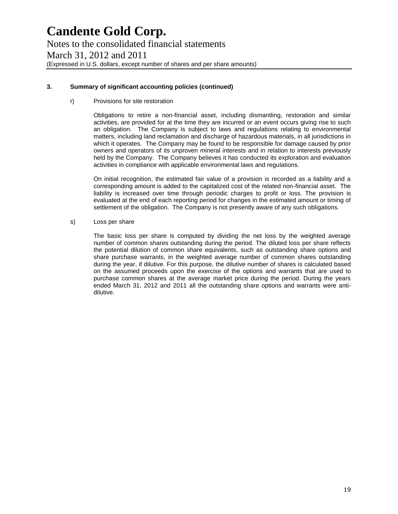Notes to the consolidated financial statements March 31, 2012 and 2011 (Expressed in U.S. dollars, except number of shares and per share amounts)

### **3. Summary of significant accounting policies (continued)**

r) Provisions for site restoration

Obligations to retire a non-financial asset, including dismantling, restoration and similar activities, are provided for at the time they are incurred or an event occurs giving rise to such an obligation. The Company is subject to laws and regulations relating to environmental matters, including land reclamation and discharge of hazardous materials, in all jurisdictions in which it operates. The Company may be found to be responsible for damage caused by prior owners and operators of its unproven mineral interests and in relation to interests previously held by the Company. The Company believes it has conducted its exploration and evaluation activities in compliance with applicable environmental laws and regulations.

On initial recognition, the estimated fair value of a provision is recorded as a liability and a corresponding amount is added to the capitalized cost of the related non-financial asset. The liability is increased over time through periodic charges to profit or loss. The provision is evaluated at the end of each reporting period for changes in the estimated amount or timing of settlement of the obligation. The Company is not presently aware of any such obligations.

s) Loss per share

The basic loss per share is computed by dividing the net loss by the weighted average number of common shares outstanding during the period. The diluted loss per share reflects the potential dilution of common share equivalents, such as outstanding share options and share purchase warrants, in the weighted average number of common shares outstanding during the year, if dilutive. For this purpose, the dilutive number of shares is calculated based on the assumed proceeds upon the exercise of the options and warrants that are used to purchase common shares at the average market price during the period. During the years ended March 31, 2012 and 2011 all the outstanding share options and warrants were antidilutive.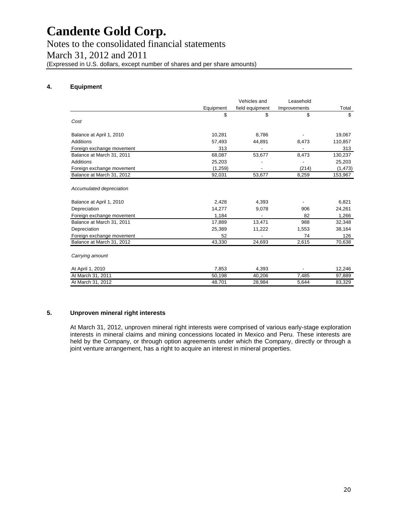Notes to the consolidated financial statements March 31, 2012 and 2011 (Expressed in U.S. dollars, except number of shares and per share amounts)

## **4. Equipment**

|                           |           | Vehicles and             | Leasehold    |          |
|---------------------------|-----------|--------------------------|--------------|----------|
|                           | Equipment | field equipment          | Improvements | Total    |
|                           | \$        | \$                       | \$           | \$       |
| Cost                      |           |                          |              |          |
| Balance at April 1, 2010  | 10,281    | 8,786                    |              | 19,067   |
| <b>Additions</b>          | 57,493    | 44,891                   | 8,473        | 110,857  |
| Foreign exchange movement | 313       |                          |              | 313      |
| Balance at March 31, 2011 | 68,087    | 53,677                   | 8,473        | 130,237  |
| Additions                 | 25,203    |                          |              | 25,203   |
| Foreign exchange movement | (1, 259)  | $\overline{\phantom{0}}$ | (214)        | (1, 473) |
| Balance at March 31, 2012 | 92,031    | 53,677                   | 8,259        | 153,967  |
| Accumulated depreciation  |           |                          |              |          |
| Balance at April 1, 2010  | 2,428     | 4,393                    |              | 6,821    |
| Depreciation              | 14,277    | 9,078                    | 906          | 24,261   |
| Foreign exchange movement | 1,184     |                          | 82           | 1,266    |
| Balance at March 31, 2011 | 17,889    | 13,471                   | 988          | 32,348   |
| Depreciation              | 25,389    | 11,222                   | 1,553        | 38,164   |
| Foreign exchange movement | 52        |                          | 74           | 126      |
| Balance at March 31, 2012 | 43,330    | 24,693                   | 2,615        | 70,638   |
| Carrying amount           |           |                          |              |          |
| At April 1, 2010          | 7,853     | 4,393                    |              | 12,246   |
| At March 31, 2011         | 50,198    | 40,206                   | 7,485        | 97,889   |
| At March 31, 2012         | 48,701    | 28,984                   | 5,644        | 83,329   |

#### **5. Unproven mineral right interests**

At March 31, 2012, unproven mineral right interests were comprised of various early-stage exploration interests in mineral claims and mining concessions located in Mexico and Peru. These interests are held by the Company, or through option agreements under which the Company, directly or through a joint venture arrangement, has a right to acquire an interest in mineral properties.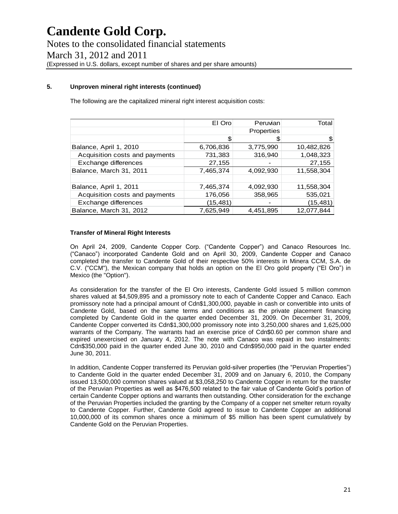Notes to the consolidated financial statements March 31, 2012 and 2011 (Expressed in U.S. dollars, except number of shares and per share amounts)

### **5. Unproven mineral right interests (continued)**

The following are the capitalized mineral right interest acquisition costs:

|                                | El Oro    | Peruvian   | Total          |
|--------------------------------|-----------|------------|----------------|
|                                |           | Properties |                |
|                                | \$        |            | $\mathfrak{S}$ |
| Balance, April 1, 2010         | 6,706,836 | 3,775,990  | 10,482,826     |
| Acquisition costs and payments | 731,383   | 316,940    | 1,048,323      |
| Exchange differences           | 27,155    |            | 27,155         |
| Balance, March 31, 2011        | 7,465,374 | 4,092,930  | 11,558,304     |
|                                |           |            |                |
| Balance, April 1, 2011         | 7,465,374 | 4,092,930  | 11,558,304     |
| Acquisition costs and payments | 176,056   | 358,965    | 535,021        |
| Exchange differences           | (15, 481) |            | (15, 481)      |
| Balance, March 31, 2012        | 7,625,949 | 4,451,895  | 12,077,844     |

#### **Transfer of Mineral Right Interests**

On April 24, 2009, Candente Copper Corp. ("Candente Copper") and Canaco Resources Inc. (―Canaco‖) incorporated Candente Gold and on April 30, 2009, Candente Copper and Canaco completed the transfer to Candente Gold of their respective 50% interests in Minera CCM, S.A. de C.V. ("CCM"), the Mexican company that holds an option on the El Oro gold property ("El Oro") in Mexico (the "Option").

As consideration for the transfer of the El Oro interests, Candente Gold issued 5 million common shares valued at \$4,509,895 and a promissory note to each of Candente Copper and Canaco. Each promissory note had a principal amount of Cdn\$1,300,000, payable in cash or convertible into units of Candente Gold, based on the same terms and conditions as the private placement financing completed by Candente Gold in the quarter ended December 31, 2009. On December 31, 2009, Candente Copper converted its Cdn\$1,300,000 promissory note into 3,250,000 shares and 1,625,000 warrants of the Company. The warrants had an exercise price of Cdn\$0.60 per common share and expired unexercised on January 4, 2012. The note with Canaco was repaid in two instalments: Cdn\$350,000 paid in the quarter ended June 30, 2010 and Cdn\$950,000 paid in the quarter ended June 30, 2011.

In addition, Candente Copper transferred its Peruvian gold-silver properties (the "Peruvian Properties") to Candente Gold in the quarter ended December 31, 2009 and on January 6, 2010, the Company issued 13,500,000 common shares valued at \$3,058,250 to Candente Copper in return for the transfer of the Peruvian Properties as well as \$476,500 related to the fair value of Candente Gold's portion of certain Candente Copper options and warrants then outstanding. Other consideration for the exchange of the Peruvian Properties included the granting by the Company of a copper net smelter return royalty to Candente Copper. Further, Candente Gold agreed to issue to Candente Copper an additional 10,000,000 of its common shares once a minimum of \$5 million has been spent cumulatively by Candente Gold on the Peruvian Properties.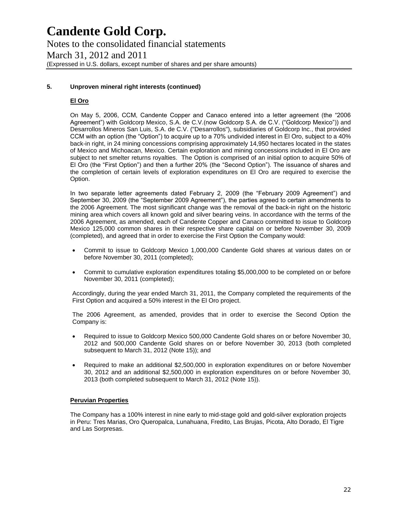Notes to the consolidated financial statements March 31, 2012 and 2011 (Expressed in U.S. dollars, except number of shares and per share amounts)

### **5. Unproven mineral right interests (continued)**

### **El Oro**

On May 5, 2006, CCM, Candente Copper and Canaco entered into a letter agreement (the "2006 Agreement") with Goldcorp Mexico, S.A. de C.V.(now Goldcorp S.A. de C.V. ("Goldcorp Mexico")) and Desarrollos Mineros San Luis, S.A. de C.V. ("Desarrollos"), subsidiaries of Goldcorp Inc., that provided CCM with an option (the "Option") to acquire up to a 70% undivided interest in El Oro, subject to a 40% back-in right, in 24 mining concessions comprising approximately 14,950 hectares located in the states of Mexico and Michoacan, Mexico. Certain exploration and mining concessions included in El Oro are subject to net smelter returns royalties. The Option is comprised of an initial option to acquire 50% of El Oro (the "First Option") and then a further 20% (the "Second Option"). The issuance of shares and the completion of certain levels of exploration expenditures on El Oro are required to exercise the Option.

In two separate letter agreements dated February 2, 2009 (the "February 2009 Agreement") and September 30, 2009 (the "September 2009 Agreement"), the parties agreed to certain amendments to the 2006 Agreement. The most significant change was the removal of the back-in right on the historic mining area which covers all known gold and silver bearing veins. In accordance with the terms of the 2006 Agreement, as amended, each of Candente Copper and Canaco committed to issue to Goldcorp Mexico 125,000 common shares in their respective share capital on or before November 30, 2009 (completed), and agreed that in order to exercise the First Option the Company would:

- Commit to issue to Goldcorp Mexico 1,000,000 Candente Gold shares at various dates on or before November 30, 2011 (completed);
- Commit to cumulative exploration expenditures totaling \$5,000,000 to be completed on or before November 30, 2011 (completed);

Accordingly, during the year ended March 31, 2011, the Company completed the requirements of the First Option and acquired a 50% interest in the El Oro project.

The 2006 Agreement, as amended, provides that in order to exercise the Second Option the Company is:

- Required to issue to Goldcorp Mexico 500,000 Candente Gold shares on or before November 30, 2012 and 500,000 Candente Gold shares on or before November 30, 2013 (both completed subsequent to March 31, 2012 (Note 15)); and
- Required to make an additional \$2,500,000 in exploration expenditures on or before November 30, 2012 and an additional \$2,500,000 in exploration expenditures on or before November 30, 2013 (both completed subsequent to March 31, 2012 (Note 15)).

### **Peruvian Properties**

The Company has a 100% interest in nine early to mid-stage gold and gold-silver exploration projects in Peru: Tres Marias, Oro Queropalca, Lunahuana, Fredito, Las Brujas, Picota, Alto Dorado, El Tigre and Las Sorpresas.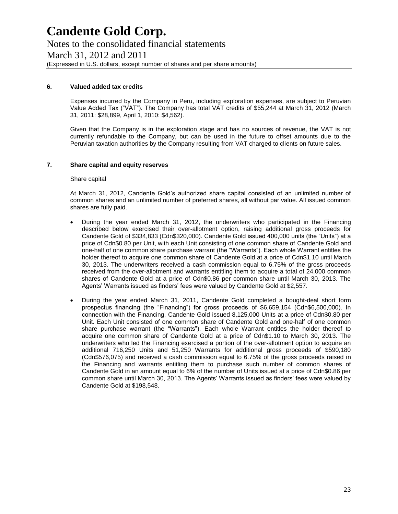Notes to the consolidated financial statements March 31, 2012 and 2011 (Expressed in U.S. dollars, except number of shares and per share amounts)

#### **6. Valued added tax credits**

Expenses incurred by the Company in Peru, including exploration expenses, are subject to Peruvian Value Added Tax ("VAT"). The Company has total VAT credits of \$55,244 at March 31, 2012 (March 31, 2011: \$28,899, April 1, 2010: \$4,562).

Given that the Company is in the exploration stage and has no sources of revenue, the VAT is not currently refundable to the Company, but can be used in the future to offset amounts due to the Peruvian taxation authorities by the Company resulting from VAT charged to clients on future sales.

#### **7. Share capital and equity reserves**

#### Share capital

At March 31, 2012, Candente Gold's authorized share capital consisted of an unlimited number of common shares and an unlimited number of preferred shares, all without par value. All issued common shares are fully paid.

- During the year ended March 31, 2012, the underwriters who participated in the Financing described below exercised their over-allotment option, raising additional gross proceeds for Candente Gold of \$334,833 (Cdn\$320,000). Candente Gold issued 400,000 units (the "Units") at a price of Cdn\$0.80 per Unit, with each Unit consisting of one common share of Candente Gold and one-half of one common share purchase warrant (the "Warrants"). Each whole Warrant entitles the holder thereof to acquire one common share of Candente Gold at a price of Cdn\$1.10 until March 30, 2013. The underwriters received a cash commission equal to 6.75% of the gross proceeds received from the over-allotment and warrants entitling them to acquire a total of 24,000 common shares of Candente Gold at a price of Cdn\$0.86 per common share until March 30, 2013. The Agents' Warrants issued as finders' fees were valued by Candente Gold at \$2,557.
- During the year ended March 31, 2011, Candente Gold completed a bought-deal short form prospectus financing (the "Financing") for gross proceeds of \$6,659,154 (Cdn\$6,500,000). In connection with the Financing, Candente Gold issued 8,125,000 Units at a price of Cdn\$0.80 per Unit. Each Unit consisted of one common share of Candente Gold and one-half of one common share purchase warrant (the "Warrants"). Each whole Warrant entitles the holder thereof to acquire one common share of Candente Gold at a price of Cdn\$1.10 to March 30, 2013. The underwriters who led the Financing exercised a portion of the over-allotment option to acquire an additional 716,250 Units and 51,250 Warrants for additional gross proceeds of \$590,180 (Cdn\$576,075) and received a cash commission equal to 6.75% of the gross proceeds raised in the Financing and warrants entitling them to purchase such number of common shares of Candente Gold in an amount equal to 6% of the number of Units issued at a price of Cdn\$0.86 per common share until March 30, 2013. The Agents' Warrants issued as finders' fees were valued by Candente Gold at \$198,548.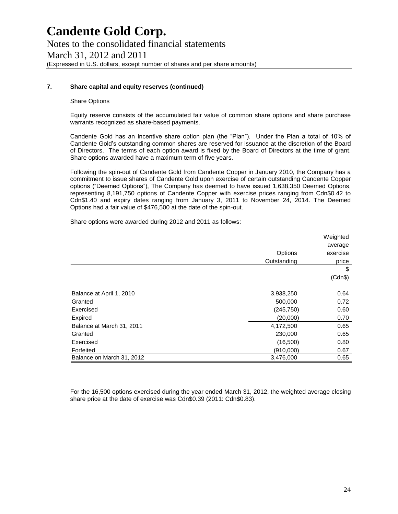### **7. Share capital and equity reserves (continued)**

#### Share Options

Equity reserve consists of the accumulated fair value of common share options and share purchase warrants recognized as share-based payments.

Candente Gold has an incentive share option plan (the "Plan"). Under the Plan a total of 10% of Candente Gold's outstanding common shares are reserved for issuance at the discretion of the Board of Directors. The terms of each option award is fixed by the Board of Directors at the time of grant. Share options awarded have a maximum term of five years.

Following the spin-out of Candente Gold from Candente Copper in January 2010, the Company has a commitment to issue shares of Candente Gold upon exercise of certain outstanding Candente Copper options ("Deemed Options"), The Company has deemed to have issued 1,638,350 Deemed Options, representing 8,191,750 options of Candente Copper with exercise prices ranging from Cdn\$0.42 to Cdn\$1.40 and expiry dates ranging from January 3, 2011 to November 24, 2014. The Deemed Options had a fair value of \$476,500 at the date of the spin-out.

Share options were awarded during 2012 and 2011 as follows:

|                           |             | Weighted |
|---------------------------|-------------|----------|
|                           |             | average  |
|                           | Options     | exercise |
|                           | Outstanding | price    |
|                           |             | \$       |
|                           |             | (Cdn\$)  |
|                           |             |          |
| Balance at April 1, 2010  | 3,938,250   | 0.64     |
| Granted                   | 500,000     | 0.72     |
| Exercised                 | (245, 750)  | 0.60     |
| Expired                   | (20,000)    | 0.70     |
| Balance at March 31, 2011 | 4,172,500   | 0.65     |
| Granted                   | 230,000     | 0.65     |
| Exercised                 | (16,500)    | 0.80     |
| Forfeited                 | (910,000)   | 0.67     |
| Balance on March 31, 2012 | 3,476,000   | 0.65     |

For the 16,500 options exercised during the year ended March 31, 2012, the weighted average closing share price at the date of exercise was Cdn\$0.39 (2011: Cdn\$0.83).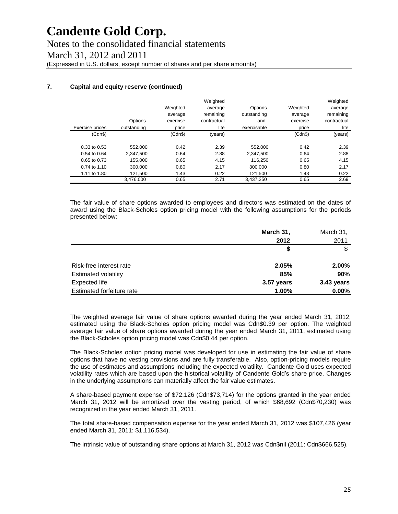Notes to the consolidated financial statements March 31, 2012 and 2011 (Expressed in U.S. dollars, except number of shares and per share amounts)

## **7. Capital and equity reserve (continued)**

|                  |             |          | Weighted    |             |          | Weighted    |
|------------------|-------------|----------|-------------|-------------|----------|-------------|
|                  |             | Weighted | average     | Options     | Weighted | average     |
|                  |             | average  | remaining   | outstanding | average  | remaining   |
|                  | Options     | exercise | contractual | and         | exercise | contractual |
| Exercise prices  | outstanding | price    | life        | exercisable | price    | life        |
| (Cdn\$)          |             | (Cdn\$)  | (years)     |             | (Cdn\$)  | (years)     |
|                  |             |          |             |             |          |             |
| $0.33$ to $0.53$ | 552.000     | 0.42     | 2.39        | 552.000     | 0.42     | 2.39        |
| 0.54 to 0.64     | 2.347.500   | 0.64     | 2.88        | 2.347.500   | 0.64     | 2.88        |
| 0.65 to 0.73     | 155.000     | 0.65     | 4.15        | 116.250     | 0.65     | 4.15        |
| 0.74 to 1.10     | 300.000     | 0.80     | 2.17        | 300.000     | 0.80     | 2.17        |
| 1.11 to 1.80     | 121,500     | 1.43     | 0.22        | 121.500     | 1.43     | 0.22        |
|                  | 3.476.000   | 0.65     | 2.71        | 3,437,250   | 0.65     | 2.69        |

The fair value of share options awarded to employees and directors was estimated on the dates of award using the Black-Scholes option pricing model with the following assumptions for the periods presented below:

|                             | March 31,  | March 31,  |
|-----------------------------|------------|------------|
|                             | 2012       | 2011       |
|                             | \$         |            |
| Risk-free interest rate     | 2.05%      | $2.00\%$   |
| <b>Estimated volatility</b> | 85%        | 90%        |
| <b>Expected life</b>        | 3.57 years | 3.43 years |
| Estimated forfeiture rate   | 1.00%      | $0.00\%$   |

The weighted average fair value of share options awarded during the year ended March 31, 2012, estimated using the Black-Scholes option pricing model was Cdn\$0.39 per option. The weighted average fair value of share options awarded during the year ended March 31, 2011, estimated using the Black-Scholes option pricing model was Cdn\$0.44 per option.

The Black-Scholes option pricing model was developed for use in estimating the fair value of share options that have no vesting provisions and are fully transferable. Also, option-pricing models require the use of estimates and assumptions including the expected volatility. Candente Gold uses expected volatility rates which are based upon the historical volatility of Candente Gold's share price. Changes in the underlying assumptions can materially affect the fair value estimates.

A share-based payment expense of \$72,126 (Cdn\$73,714) for the options granted in the year ended March 31, 2012 will be amortized over the vesting period, of which \$68,692 (Cdn\$70,230) was recognized in the year ended March 31, 2011.

The total share-based compensation expense for the year ended March 31, 2012 was \$107,426 (year ended March 31, 2011: \$1,116,534).

The intrinsic value of outstanding share options at March 31, 2012 was Cdn\$nil (2011: Cdn\$666,525).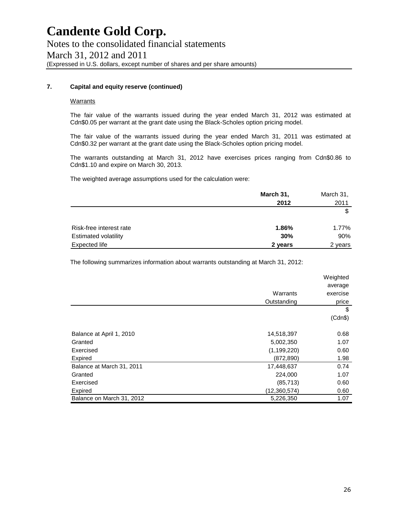### **7. Capital and equity reserve (continued)**

#### Warrants

The fair value of the warrants issued during the year ended March 31, 2012 was estimated at Cdn\$0.05 per warrant at the grant date using the Black-Scholes option pricing model.

The fair value of the warrants issued during the year ended March 31, 2011 was estimated at Cdn\$0.32 per warrant at the grant date using the Black-Scholes option pricing model.

The warrants outstanding at March 31, 2012 have exercises prices ranging from Cdn\$0.86 to Cdn\$1.10 and expire on March 30, 2013.

The weighted average assumptions used for the calculation were:

|                             | March 31, | March 31, |
|-----------------------------|-----------|-----------|
|                             | 2012      | 2011      |
|                             |           | \$        |
| Risk-free interest rate     | 1.86%     | 1.77%     |
| <b>Estimated volatility</b> | 30%       | 90%       |
| Expected life               | 2 years   | 2 years   |

The following summarizes information about warrants outstanding at March 31, 2012:

|                           |               | Weighted |
|---------------------------|---------------|----------|
|                           |               | average  |
|                           | Warrants      | exercise |
|                           | Outstanding   | price    |
|                           |               | \$       |
|                           |               | (Cdn\$)  |
| Balance at April 1, 2010  | 14,518,397    | 0.68     |
| Granted                   | 5,002,350     | 1.07     |
| Exercised                 | (1, 199, 220) | 0.60     |
| Expired                   | (872, 890)    | 1.98     |
| Balance at March 31, 2011 | 17,448,637    | 0.74     |
| Granted                   | 224,000       | 1.07     |
| Exercised                 | (85, 713)     | 0.60     |
| Expired                   | (12,360,574)  | 0.60     |
| Balance on March 31, 2012 | 5,226,350     | 1.07     |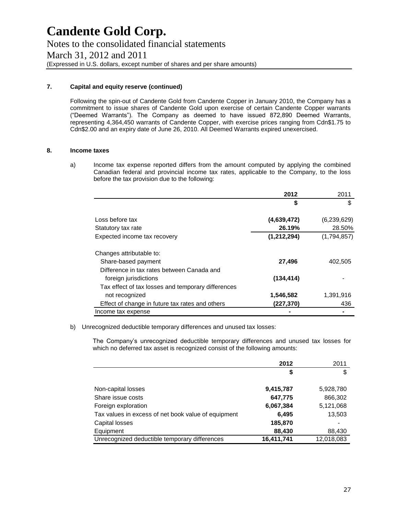Notes to the consolidated financial statements March 31, 2012 and 2011 (Expressed in U.S. dollars, except number of shares and per share amounts)

### **7. Capital and equity reserve (continued)**

Following the spin-out of Candente Gold from Candente Copper in January 2010, the Company has a commitment to issue shares of Candente Gold upon exercise of certain Candente Copper warrants (―Deemed Warrants‖). The Company as deemed to have issued 872,890 Deemed Warrants, representing 4,364,450 warrants of Candente Copper, with exercise prices ranging from Cdn\$1.75 to Cdn\$2.00 and an expiry date of June 26, 2010. All Deemed Warrants expired unexercised.

#### **8. Income taxes**

a) Income tax expense reported differs from the amount computed by applying the combined Canadian federal and provincial income tax rates, applicable to the Company, to the loss before the tax provision due to the following:

|                                                    | 2012        | 2011        |
|----------------------------------------------------|-------------|-------------|
|                                                    | \$          | \$          |
| Loss before tax                                    | (4,639,472) | (6,239,629) |
| Statutory tax rate                                 | 26.19%      | 28.50%      |
| Expected income tax recovery                       | (1,212,294) | (1,794,857) |
| Changes attributable to:                           |             |             |
| Share-based payment                                | 27,496      | 402,505     |
| Difference in tax rates between Canada and         |             |             |
| foreign jurisdictions                              | (134, 414)  |             |
| Tax effect of tax losses and temporary differences |             |             |
| not recognized                                     | 1,546,582   | 1,391,916   |
| Effect of change in future tax rates and others    | (227,370)   | 436         |
| Income tax expense                                 |             |             |

b) Unrecognized deductible temporary differences and unused tax losses:

The Company's unrecognized deductible temporary differences and unused tax losses for which no deferred tax asset is recognized consist of the following amounts:

|                                                     | 2012       | 2011       |
|-----------------------------------------------------|------------|------------|
|                                                     | \$         | \$         |
|                                                     |            |            |
| Non-capital losses                                  | 9,415,787  | 5,928,780  |
| Share issue costs                                   | 647,775    | 866,302    |
| Foreign exploration                                 | 6,067,384  | 5,121,068  |
| Tax values in excess of net book value of equipment | 6,495      | 13,503     |
| Capital losses                                      | 185,870    |            |
| Equipment                                           | 88,430     | 88,430     |
| Unrecognized deductible temporary differences       | 16,411,741 | 12,018,083 |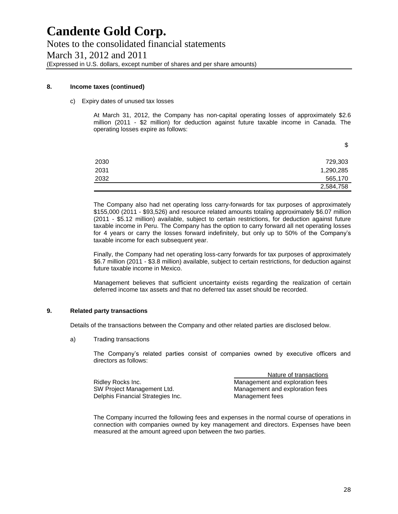Notes to the consolidated financial statements March 31, 2012 and 2011 (Expressed in U.S. dollars, except number of shares and per share amounts)

#### **8. Income taxes (continued)**

c) Expiry dates of unused tax losses

At March 31, 2012, the Company has non-capital operating losses of approximately \$2.6 million (2011 - \$2 million) for deduction against future taxable income in Canada. The operating losses expire as follows:

| 2030 | 729,303   |
|------|-----------|
| 2031 | 1,290,285 |
| 2032 | 565,170   |
|      | 2,584,758 |

The Company also had net operating loss carry-forwards for tax purposes of approximately \$155,000 (2011 - \$93,526) and resource related amounts totaling approximately \$6.07 million (2011 - \$5.12 million) available, subject to certain restrictions, for deduction against future taxable income in Peru. The Company has the option to carry forward all net operating losses for 4 years or carry the losses forward indefinitely, but only up to 50% of the Company's taxable income for each subsequent year.

Finally, the Company had net operating loss-carry forwards for tax purposes of approximately \$6.7 million (2011 - \$3.8 million) available, subject to certain restrictions, for deduction against future taxable income in Mexico.

Management believes that sufficient uncertainty exists regarding the realization of certain deferred income tax assets and that no deferred tax asset should be recorded.

#### **9. Related party transactions**

Details of the transactions between the Company and other related parties are disclosed below.

a) Trading transactions

The Company's related parties consist of companies owned by executive officers and directors as follows:

|                                   | Nature of transactions          |
|-----------------------------------|---------------------------------|
| Ridley Rocks Inc.                 | Management and exploration fees |
| SW Project Management Ltd.        | Management and exploration fees |
| Delphis Financial Strategies Inc. | Management fees                 |

The Company incurred the following fees and expenses in the normal course of operations in connection with companies owned by key management and directors. Expenses have been measured at the amount agreed upon between the two parties.

\$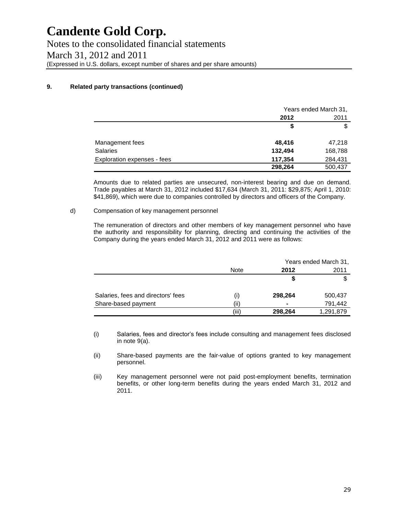Notes to the consolidated financial statements March 31, 2012 and 2011 (Expressed in U.S. dollars, except number of shares and per share amounts)

## **9. Related party transactions (continued)**

|                             | Years ended March 31, |         |
|-----------------------------|-----------------------|---------|
|                             | 2012                  | 2011    |
|                             | \$                    | \$      |
| Management fees             | 48,416                | 47,218  |
| <b>Salaries</b>             | 132,494               | 168,788 |
| Exploration expenses - fees | 117,354               | 284,431 |
|                             | 298,264               | 500,437 |

Amounts due to related parties are unsecured, non-interest bearing and due on demand. Trade payables at March 31, 2012 included \$17,634 (March 31, 2011: \$29,875; April 1, 2010: \$41,869), which were due to companies controlled by directors and officers of the Company.

### d) Compensation of key management personnel

The remuneration of directors and other members of key management personnel who have the authority and responsibility for planning, directing and continuing the activities of the Company during the years ended March 31, 2012 and 2011 were as follows:

|                                    |             | Years ended March 31,<br>2011<br>2012 |           |  |
|------------------------------------|-------------|---------------------------------------|-----------|--|
|                                    | <b>Note</b> |                                       |           |  |
|                                    |             |                                       |           |  |
| Salaries, fees and directors' fees | (i)         | 298,264                               | 500,437   |  |
| Share-based payment                | ίï          |                                       | 791,442   |  |
|                                    | (iii)       | 298,264                               | 1,291,879 |  |

- (i) Salaries, fees and director's fees include consulting and management fees disclosed in note 9(a).
- (ii) Share-based payments are the fair-value of options granted to key management personnel.
- (iii) Key management personnel were not paid post-employment benefits, termination benefits, or other long-term benefits during the years ended March 31, 2012 and 2011.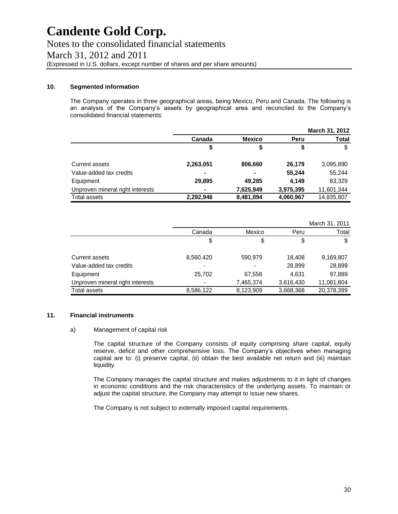Notes to the consolidated financial statements March 31, 2012 and 2011 (Expressed in U.S. dollars, except number of shares and per share amounts)

### **10. Segmented information**

The Company operates in three geographical areas, being Mexico, Peru and Canada. The following is an analysis of the Company's assets by geographical area and reconciled to the Company's consolidated financial statements:

|                                  |           |               |           | March 31, 2012 |
|----------------------------------|-----------|---------------|-----------|----------------|
|                                  | Canada    | <b>Mexico</b> | Peru      | <b>Total</b>   |
|                                  | \$        | S             | \$        | \$             |
| <b>Current assets</b>            | 2,263,051 | 806,660       | 26,179    | 3,095,890      |
| Value-added tax credits          | ۰         | ۰             | 55.244    | 55,244         |
| Equipment                        | 29,895    | 49,285        | 4,149     | 83,329         |
| Unproven mineral right interests | ۰         | 7,625,949     | 3.975.395 | 11,601,344     |
| Total assets                     | 2,292,946 | 8,481,894     | 4,060,967 | 14,835,807     |

|                                  |           |           |           | March 31, 2011 |
|----------------------------------|-----------|-----------|-----------|----------------|
|                                  | Canada    | Mexico    | Peru      | Total          |
|                                  | \$        | \$        | \$        | \$             |
| Current assets                   | 8,560,420 | 590,979   | 18.408    | 9,169,807      |
| Value-added tax credits          |           |           | 28,899    | 28,899         |
| Equipment                        | 25,702    | 67,556    | 4,631     | 97,889         |
| Unproven mineral right interests |           | 7,465,374 | 3,616,430 | 11,081,804     |
| Total assets                     | 8,586,122 | 8,123,909 | 3,668,368 | 20,378,399     |

#### **11. Financial instruments**

#### a) Management of capital risk

The capital structure of the Company consists of equity comprising share capital, equity reserve, deficit and other comprehensive loss. The Company's objectives when managing capital are to: (i) preserve capital, (ii) obtain the best available net return and (iii) maintain liquidity.

The Company manages the capital structure and makes adjustments to it in light of changes in economic conditions and the risk characteristics of the underlying assets. To maintain or adjust the capital structure, the Company may attempt to issue new shares.

The Company is not subject to externally imposed capital requirements.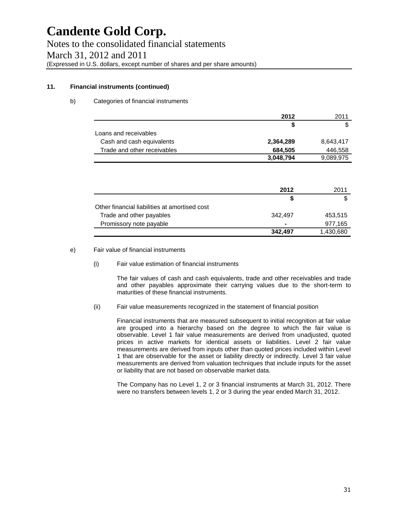Notes to the consolidated financial statements March 31, 2012 and 2011 (Expressed in U.S. dollars, except number of shares and per share amounts)

### **11. Financial instruments (continued)**

### b) Categories of financial instruments

|                             | 2012      | 2011      |
|-----------------------------|-----------|-----------|
|                             |           |           |
| Loans and receivables       |           |           |
| Cash and cash equivalents   | 2,364,289 | 8,643,417 |
| Trade and other receivables | 684.505   | 446,558   |
|                             | 3,048,794 | 9,089,975 |

|                                               | 2012    | 2011      |
|-----------------------------------------------|---------|-----------|
|                                               |         |           |
| Other financial liabilities at amortised cost |         |           |
| Trade and other payables                      | 342.497 | 453,515   |
| Promissory note payable                       | ۰       | 977,165   |
|                                               | 342.497 | 1,430,680 |

e) Fair value of financial instruments

#### (i) Fair value estimation of financial instruments

The fair values of cash and cash equivalents, trade and other receivables and trade and other payables approximate their carrying values due to the short-term to maturities of these financial instruments.

(ii) Fair value measurements recognized in the statement of financial position

Financial instruments that are measured subsequent to initial recognition at fair value are grouped into a hierarchy based on the degree to which the fair value is observable. Level 1 fair value measurements are derived from unadjusted, quoted prices in active markets for identical assets or liabilities. Level 2 fair value measurements are derived from inputs other than quoted prices included within Level 1 that are observable for the asset or liability directly or indirectly. Level 3 fair value measurements are derived from valuation techniques that include inputs for the asset or liability that are not based on observable market data.

The Company has no Level 1, 2 or 3 financial instruments at March 31, 2012. There were no transfers between levels 1, 2 or 3 during the year ended March 31, 2012.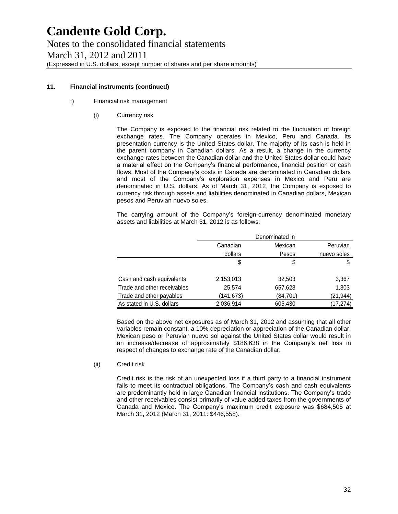Notes to the consolidated financial statements March 31, 2012 and 2011 (Expressed in U.S. dollars, except number of shares and per share amounts)

### **11. Financial instruments (continued)**

- f) Financial risk management
	- (i) Currency risk

The Company is exposed to the financial risk related to the fluctuation of foreign exchange rates. The Company operates in Mexico, Peru and Canada. Its presentation currency is the United States dollar. The majority of its cash is held in the parent company in Canadian dollars. As a result, a change in the currency exchange rates between the Canadian dollar and the United States dollar could have a material effect on the Company's financial performance, financial position or cash flows. Most of the Company's costs in Canada are denominated in Canadian dollars and most of the Company's exploration expenses in Mexico and Peru are denominated in U.S. dollars. As of March 31, 2012, the Company is exposed to currency risk through assets and liabilities denominated in Canadian dollars, Mexican pesos and Peruvian nuevo soles.

The carrying amount of the Company's foreign-currency denominated monetary assets and liabilities at March 31, 2012 is as follows:

|                             | Denominated in |           |             |
|-----------------------------|----------------|-----------|-------------|
|                             | Canadian       | Mexican   | Peruvian    |
|                             | dollars        | Pesos     | nuevo soles |
|                             | S              | S         |             |
|                             |                |           |             |
| Cash and cash equivalents   | 2,153,013      | 32,503    | 3,367       |
| Trade and other receivables | 25,574         | 657,628   | 1,303       |
| Trade and other payables    | (141, 673)     | (84, 701) | (21, 944)   |
| As stated in U.S. dollars   | 2,036,914      | 605,430   | (17, 274)   |

Based on the above net exposures as of March 31, 2012 and assuming that all other variables remain constant, a 10% depreciation or appreciation of the Canadian dollar, Mexican peso or Peruvian nuevo sol against the United States dollar would result in an increase/decrease of approximately \$186,638 in the Company's net loss in respect of changes to exchange rate of the Canadian dollar.

(ii) Credit risk

Credit risk is the risk of an unexpected loss if a third party to a financial instrument fails to meet its contractual obligations. The Company's cash and cash equivalents are predominantly held in large Canadian financial institutions. The Company's trade and other receivables consist primarily of value added taxes from the governments of Canada and Mexico. The Company's maximum credit exposure was \$684,505 at March 31, 2012 (March 31, 2011: \$446,558).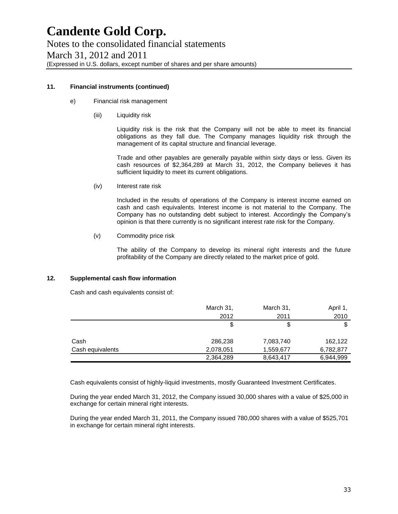Notes to the consolidated financial statements March 31, 2012 and 2011 (Expressed in U.S. dollars, except number of shares and per share amounts)

### **11. Financial instruments (continued)**

- e) Financial risk management
	- (iii) Liquidity risk

Liquidity risk is the risk that the Company will not be able to meet its financial obligations as they fall due. The Company manages liquidity risk through the management of its capital structure and financial leverage.

Trade and other payables are generally payable within sixty days or less. Given its cash resources of \$2,364,289 at March 31, 2012, the Company believes it has sufficient liquidity to meet its current obligations.

(iv) Interest rate risk

Included in the results of operations of the Company is interest income earned on cash and cash equivalents. Interest income is not material to the Company. The Company has no outstanding debt subject to interest. Accordingly the Company's opinion is that there currently is no significant interest rate risk for the Company.

(v) Commodity price risk

The ability of the Company to develop its mineral right interests and the future profitability of the Company are directly related to the market price of gold.

### **12. Supplemental cash flow information**

Cash and cash equivalents consist of:

|                  | March 31, | March 31, | April 1.  |
|------------------|-----------|-----------|-----------|
|                  | 2012      | 2011      | 2010      |
|                  | \$        | \$        | \$        |
| Cash             | 286,238   | 7,083,740 | 162,122   |
| Cash equivalents | 2,078,051 | 1,559,677 | 6,782,877 |
|                  | 2,364,289 | 8,643,417 | 6,944,999 |

Cash equivalents consist of highly-liquid investments, mostly Guaranteed Investment Certificates.

During the year ended March 31, 2012, the Company issued 30,000 shares with a value of \$25,000 in exchange for certain mineral right interests.

During the year ended March 31, 2011, the Company issued 780,000 shares with a value of \$525,701 in exchange for certain mineral right interests.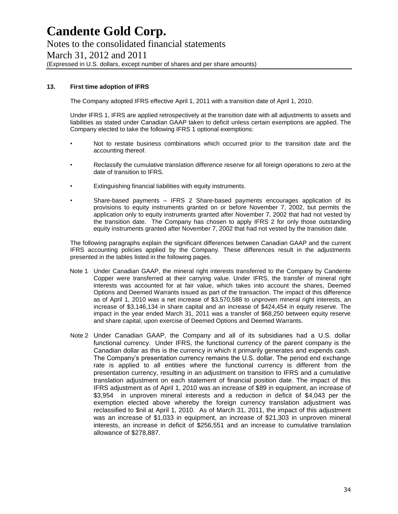## **Candente Gold Corp.** Notes to the consolidated financial statements March 31, 2012 and 2011

(Expressed in U.S. dollars, except number of shares and per share amounts)

#### **13. First time adoption of IFRS**

The Company adopted IFRS effective April 1, 2011 with a transition date of April 1, 2010.

Under IFRS 1, IFRS are applied retrospectively at the transition date with all adjustments to assets and liabilities as stated under Canadian GAAP taken to deficit unless certain exemptions are applied. The Company elected to take the following IFRS 1 optional exemptions:

- Not to restate business combinations which occurred prior to the transition date and the accounting thereof.
- Reclassify the cumulative translation difference reserve for all foreign operations to zero at the date of transition to IFRS.
- Extinguishing financial liabilities with equity instruments.
- Share-based payments IFRS 2 Share-based payments encourages application of its provisions to equity instruments granted on or before November 7, 2002, but permits the application only to equity instruments granted after November 7, 2002 that had not vested by the transition date. The Company has chosen to apply IFRS 2 for only those outstanding equity instruments granted after November 7, 2002 that had not vested by the transition date.

The following paragraphs explain the significant differences between Canadian GAAP and the current IFRS accounting policies applied by the Company. These differences result in the adjustments presented in the tables listed in the following pages.

- Note 1 Under Canadian GAAP, the mineral right interests transferred to the Company by Candente Copper were transferred at their carrying value. Under IFRS, the transfer of mineral right interests was accounted for at fair value, which takes into account the shares, Deemed Options and Deemed Warrants issued as part of the transaction. The impact of this difference as of April 1, 2010 was a net increase of \$3,570,588 to unproven mineral right interests, an increase of \$3,146,134 in share capital and an increase of \$424,454 in equity reserve. The impact in the year ended March 31, 2011 was a transfer of \$68,250 between equity reserve and share capital, upon exercise of Deemed Options and Deemed Warrants.
- Note 2 Under Canadian GAAP, the Company and all of its subsidiaries had a U.S. dollar functional currency. Under IFRS, the functional currency of the parent company is the Canadian dollar as this is the currency in which it primarily generates and expends cash. The Company's presentation currency remains the U.S. dollar. The period end exchange rate is applied to all entities where the functional currency is different from the presentation currency, resulting in an adjustment on transition to IFRS and a cumulative translation adjustment on each statement of financial position date. The impact of this IFRS adjustment as of April 1, 2010 was an increase of \$89 in equipment, an increase of \$3,954 in unproven mineral interests and a reduction in deficit of \$4,043 per the exemption elected above whereby the foreign currency translation adjustment was reclassified to \$nil at April 1, 2010. As of March 31, 2011, the impact of this adjustment was an increase of \$1,033 in equipment, an increase of \$21,303 in unproven mineral interests, an increase in deficit of \$256,551 and an increase to cumulative translation allowance of \$278,887.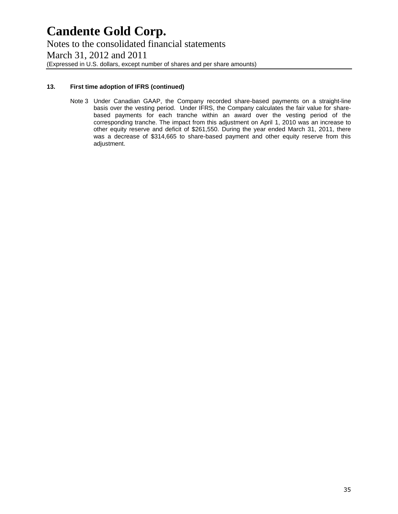Notes to the consolidated financial statements March 31, 2012 and 2011 (Expressed in U.S. dollars, except number of shares and per share amounts)

### **13. First time adoption of IFRS (continued)**

Note 3 Under Canadian GAAP, the Company recorded share-based payments on a straight-line basis over the vesting period. Under IFRS, the Company calculates the fair value for sharebased payments for each tranche within an award over the vesting period of the corresponding tranche. The impact from this adjustment on April 1, 2010 was an increase to other equity reserve and deficit of \$261,550. During the year ended March 31, 2011, there was a decrease of \$314,665 to share-based payment and other equity reserve from this adjustment.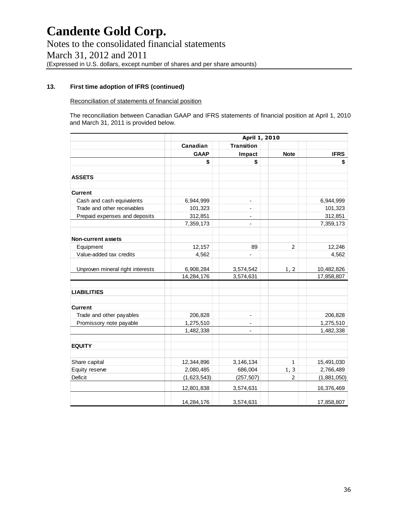Notes to the consolidated financial statements March 31, 2012 and 2011 (Expressed in U.S. dollars, except number of shares and per share amounts)

### **13. First time adoption of IFRS (continued)**

### Reconciliation of statements of financial position

The reconciliation between Canadian GAAP and IFRS statements of financial position at April 1, 2010 and March 31, 2011 is provided below.

|                                  | April 1, 2010 |                          |                |             |
|----------------------------------|---------------|--------------------------|----------------|-------------|
|                                  | Canadian      | <b>Transition</b>        |                |             |
|                                  | <b>GAAP</b>   | Impact                   | <b>Note</b>    | <b>IFRS</b> |
|                                  | \$            | \$                       |                | \$          |
|                                  |               |                          |                |             |
| <b>ASSETS</b>                    |               |                          |                |             |
|                                  |               |                          |                |             |
| <b>Current</b>                   |               |                          |                |             |
| Cash and cash equivalents        | 6,944,999     | $\overline{\phantom{0}}$ |                | 6,944,999   |
| Trade and other receivables      | 101,323       |                          |                | 101,323     |
| Prepaid expenses and deposits    | 312,851       |                          |                | 312,851     |
|                                  | 7,359,173     |                          |                | 7,359,173   |
| <b>Non-current assets</b>        |               |                          |                |             |
| Equipment                        | 12,157        | 89                       | $\overline{2}$ | 12,246      |
| Value-added tax credits          | 4,562         |                          |                | 4,562       |
|                                  |               |                          |                |             |
| Unproven mineral right interests | 6,908,284     | 3,574,542                | 1, 2           | 10,482,826  |
|                                  | 14,284,176    | 3,574,631                |                | 17,858,807  |
|                                  |               |                          |                |             |
| <b>LIABILITIES</b>               |               |                          |                |             |
| <b>Current</b>                   |               |                          |                |             |
| Trade and other payables         | 206,828       | -                        |                | 206,828     |
| Promissory note payable          | 1,275,510     |                          |                | 1,275,510   |
|                                  | 1,482,338     | $\overline{\phantom{a}}$ |                | 1,482,338   |
| <b>EQUITY</b>                    |               |                          |                |             |
|                                  |               |                          |                |             |
| Share capital                    | 12,344,896    | 3,146,134                | 1              | 15,491,030  |
| Equity reserve                   | 2,080,485     | 686,004                  | 1, 3           | 2,766,489   |
| <b>Deficit</b>                   | (1,623,543)   | (257, 507)               | 2              | (1,881,050) |
|                                  | 12,801,838    | 3,574,631                |                | 16,376,469  |
|                                  | 14,284,176    | 3,574,631                |                | 17,858,807  |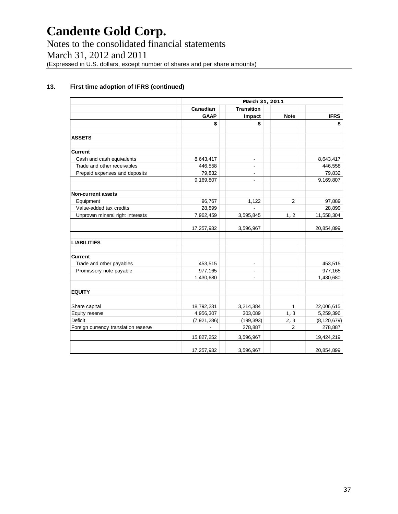Notes to the consolidated financial statements March 31, 2012 and 2011 (Expressed in U.S. dollars, except number of shares and per share amounts)

## **13. First time adoption of IFRS (continued)**

|                                      | March 31, 2011          |                             |                |               |  |
|--------------------------------------|-------------------------|-----------------------------|----------------|---------------|--|
|                                      | Canadian<br><b>GAAP</b> | <b>Transition</b><br>Impact | <b>Note</b>    | <b>IFRS</b>   |  |
|                                      |                         |                             |                |               |  |
|                                      | \$                      | \$                          |                | \$            |  |
|                                      |                         |                             |                |               |  |
| <b>ASSETS</b>                        |                         |                             |                |               |  |
|                                      |                         |                             |                |               |  |
| <b>Current</b>                       |                         |                             |                |               |  |
| Cash and cash equivalents            | 8,643,417               | $\overline{\phantom{a}}$    |                | 8,643,417     |  |
| Trade and other receivables          | 446,558                 | ÷.                          |                | 446,558       |  |
| Prepaid expenses and deposits        | 79,832                  | $\overline{\phantom{a}}$    |                | 79,832        |  |
|                                      | 9,169,807               | $\overline{a}$              |                | 9,169,807     |  |
| <b>Non-current assets</b>            |                         |                             |                |               |  |
| Equipment                            | 96,767                  | 1,122                       | $\overline{2}$ | 97,889        |  |
| Value-added tax credits              | 28,899                  |                             |                | 28,899        |  |
| Unproven mineral right interests     | 7,962,459               | 3,595,845                   | 1/2            | 11,558,304    |  |
|                                      |                         |                             |                |               |  |
|                                      | 17,257,932              | 3,596,967                   |                | 20,854,899    |  |
| <b>LIABILITIES</b>                   |                         |                             |                |               |  |
|                                      |                         |                             |                |               |  |
| <b>Current</b>                       |                         |                             |                |               |  |
| Trade and other payables             | 453,515                 |                             |                | 453,515       |  |
| Promissory note payable              | 977,165                 | ٠                           |                | 977,165       |  |
|                                      | 1,430,680               |                             |                | 1,430,680     |  |
| <b>EQUITY</b>                        |                         |                             |                |               |  |
|                                      |                         |                             |                |               |  |
| Share capital                        | 18,792,231              | 3,214,384                   | $\mathbf{1}$   | 22,006,615    |  |
| Equity reserve                       | 4,956,307               | 303,089                     | 1, 3           | 5,259,396     |  |
| Deficit                              | (7,921,286)             | (199, 393)                  | 2, 3           | (8, 120, 679) |  |
| Foreign currency translation reserve |                         | 278,887                     | $\overline{2}$ | 278,887       |  |
|                                      | 15,827,252              | 3,596,967                   |                | 19,424,219    |  |
|                                      | 17,257,932              | 3,596,967                   |                | 20,854,899    |  |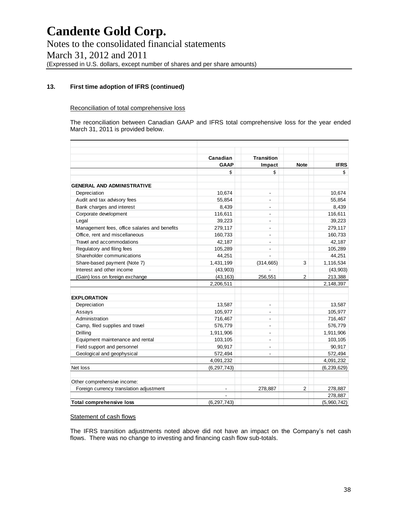Notes to the consolidated financial statements March 31, 2012 and 2011 (Expressed in U.S. dollars, except number of shares and per share amounts)

### **13. First time adoption of IFRS (continued)**

#### Reconciliation of total comprehensive loss

The reconciliation between Canadian GAAP and IFRS total comprehensive loss for the year ended March 31, 2011 is provided below.

|                                               | Canadian<br><b>GAAP</b> | <b>Transition</b><br>Impact | <b>Note</b> | <b>IFRS</b>   |
|-----------------------------------------------|-------------------------|-----------------------------|-------------|---------------|
|                                               |                         |                             |             |               |
|                                               | \$                      | \$                          |             | \$            |
|                                               |                         |                             |             |               |
| <b>GENERAL AND ADMINISTRATIVE</b>             |                         |                             |             |               |
| Depreciation                                  | 10,674                  | ٠                           |             | 10,674        |
| Audit and tax advisory fees                   | 55,854                  |                             |             | 55,854        |
| Bank charges and interest                     | 8,439                   | ÷                           |             | 8,439         |
| Corporate development                         | 116,611                 | ÷                           |             | 116,611       |
| Legal                                         | 39.223                  | ۰                           |             | 39,223        |
| Management fees, office salaries and benefits | 279,117                 | $\overline{\phantom{a}}$    |             | 279,117       |
| Office, rent and miscellaneous                | 160,733                 | $\blacksquare$              |             | 160,733       |
| Travel and accommodations                     | 42,187                  | $\blacksquare$              |             | 42,187        |
| Regulatory and filing fees                    | 105,289                 | $\blacksquare$              |             | 105,289       |
| Shareholder communications                    | 44.251                  |                             |             | 44.251        |
| Share-based payment (Note 7)                  | 1,431,199               | (314, 665)                  | 3           | 1,116,534     |
| Interest and other income                     | (43,903)                |                             |             | (43,903)      |
| (Gain) loss on foreign exchange               | (43, 163)               | 256,551                     | 2           | 213,388       |
|                                               | 2,206,511               |                             |             | 2,148,397     |
| <b>EXPLORATION</b>                            |                         |                             |             |               |
| Depreciation                                  | 13,587                  | $\blacksquare$              |             | 13,587        |
| Assays                                        | 105,977                 |                             |             | 105,977       |
| Administration                                | 716,467                 | ÷.                          |             | 716,467       |
| Camp, filed supplies and travel               | 576,779                 | $\overline{\phantom{a}}$    |             | 576,779       |
| Drilling                                      | 1,911,906               | ٠                           |             | 1,911,906     |
| Equipment maintenance and rental              | 103,105                 | $\overline{\phantom{a}}$    |             | 103,105       |
| Field support and personnel                   | 90,917                  | $\overline{\phantom{a}}$    |             | 90,917        |
| Geological and geophysical                    | 572,494                 | ٠                           |             | 572,494       |
|                                               | 4,091,232               |                             |             | 4,091,232     |
| Net loss                                      | (6, 297, 743)           |                             |             | (6, 239, 629) |
| Other comprehensive income:                   |                         |                             |             |               |
| Foreign currency translation adjustment       |                         | 278,887                     | 2           | 278,887       |
|                                               |                         |                             |             | 278,887       |
| <b>Total comprehensive loss</b>               | (6, 297, 743)           |                             |             | (5,960,742)   |

### Statement of cash flows

The IFRS transition adjustments noted above did not have an impact on the Company's net cash flows. There was no change to investing and financing cash flow sub-totals.